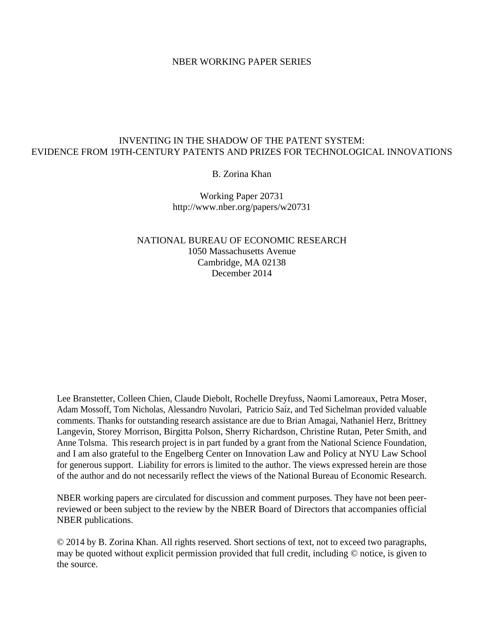### NBER WORKING PAPER SERIES

## INVENTING IN THE SHADOW OF THE PATENT SYSTEM: EVIDENCE FROM 19TH-CENTURY PATENTS AND PRIZES FOR TECHNOLOGICAL INNOVATIONS

### B. Zorina Khan

Working Paper 20731 http://www.nber.org/papers/w20731

NATIONAL BUREAU OF ECONOMIC RESEARCH 1050 Massachusetts Avenue Cambridge, MA 02138 December 2014

Lee Branstetter, Colleen Chien, Claude Diebolt, Rochelle Dreyfuss, Naomi Lamoreaux, Petra Moser, Adam Mossoff, Tom Nicholas, Alessandro Nuvolari, Patricio Saíz, and Ted Sichelman provided valuable comments. Thanks for outstanding research assistance are due to Brian Amagai, Nathaniel Herz, Brittney Langevin, Storey Morrison, Birgitta Polson, Sherry Richardson, Christine Rutan, Peter Smith, and Anne Tolsma. This research project is in part funded by a grant from the National Science Foundation, and I am also grateful to the Engelberg Center on Innovation Law and Policy at NYU Law School for generous support. Liability for errors is limited to the author. The views expressed herein are those of the author and do not necessarily reflect the views of the National Bureau of Economic Research.

NBER working papers are circulated for discussion and comment purposes. They have not been peerreviewed or been subject to the review by the NBER Board of Directors that accompanies official NBER publications.

© 2014 by B. Zorina Khan. All rights reserved. Short sections of text, not to exceed two paragraphs, may be quoted without explicit permission provided that full credit, including © notice, is given to the source.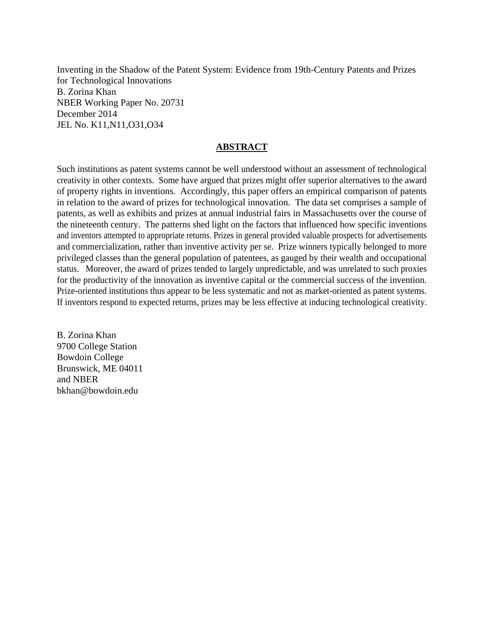Inventing in the Shadow of the Patent System: Evidence from 19th-Century Patents and Prizes for Technological Innovations B. Zorina Khan NBER Working Paper No. 20731 December 2014 JEL No. K11,N11,O31,O34

## **ABSTRACT**

Such institutions as patent systems cannot be well understood without an assessment of technological creativity in other contexts. Some have argued that prizes might offer superior alternatives to the award of property rights in inventions. Accordingly, this paper offers an empirical comparison of patents in relation to the award of prizes for technological innovation. The data set comprises a sample of patents, as well as exhibits and prizes at annual industrial fairs in Massachusetts over the course of the nineteenth century. The patterns shed light on the factors that influenced how specific inventions and inventors attempted to appropriate returns. Prizes in general provided valuable prospects for advertisements and commercialization, rather than inventive activity per se. Prize winners typically belonged to more privileged classes than the general population of patentees, as gauged by their wealth and occupational status. Moreover, the award of prizes tended to largely unpredictable, and was unrelated to such proxies for the productivity of the innovation as inventive capital or the commercial success of the invention. Prize-oriented institutions thus appear to be less systematic and not as market-oriented as patent systems. If inventors respond to expected returns, prizes may be less effective at inducing technological creativity.

B. Zorina Khan 9700 College Station Bowdoin College Brunswick, ME 04011 and NBER bkhan@bowdoin.edu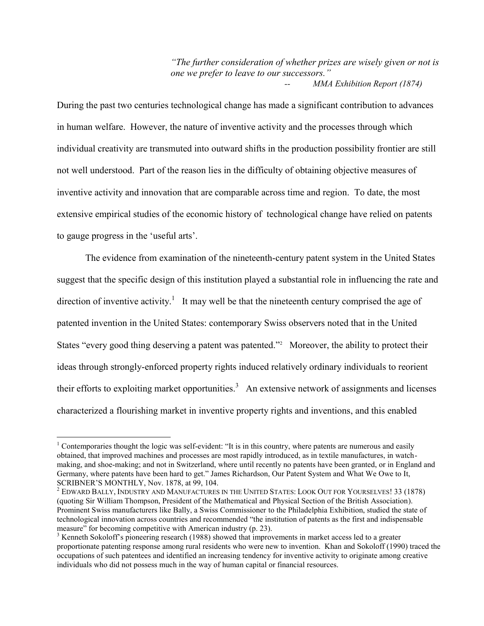*"The further consideration of whether prizes are wisely given or not is one we prefer to leave to our successors." MMA Exhibition Report (1874)* 

During the past two centuries technological change has made a significant contribution to advances in human welfare. However, the nature of inventive activity and the processes through which individual creativity are transmuted into outward shifts in the production possibility frontier are still not well understood. Part of the reason lies in the difficulty of obtaining objective measures of inventive activity and innovation that are comparable across time and region. To date, the most extensive empirical studies of the economic history of technological change have relied on patents to gauge progress in the 'useful arts'.

The evidence from examination of the nineteenth-century patent system in the United States suggest that the specific design of this institution played a substantial role in influencing the rate and direction of inventive activity.<sup>1</sup> It may well be that the nineteenth century comprised the age of patented invention in the United States: contemporary Swiss observers noted that in the United States "every good thing deserving a patent was patented."<sup>2</sup> Moreover, the ability to protect their ideas through strongly-enforced property rights induced relatively ordinary individuals to reorient their efforts to exploiting market opportunities.<sup>3</sup> An extensive network of assignments and licenses characterized a flourishing market in inventive property rights and inventions, and this enabled

<sup>&</sup>lt;sup>1</sup> Contemporaries thought the logic was self-evident: "It is in this country, where patents are numerous and easily obtained, that improved machines and processes are most rapidly introduced, as in textile manufactures, in watchmaking, and shoe-making; and not in Switzerland, where until recently no patents have been granted, or in England and Germany, where patents have been hard to get." James Richardson, Our Patent System and What We Owe to It, SCRIBNER'S MONTHLY, Nov. 1878, at 99, 104.

 $^2$  Edward Bally, Industry and Manufactures in the United States: Look Out for Yourselves! 33 (1878) (quoting Sir William Thompson, President of the Mathematical and Physical Section of the British Association). Prominent Swiss manufacturers like Bally, a Swiss Commissioner to the Philadelphia Exhibition, studied the state of technological innovation across countries and recommended "the institution of patents as the first and indispensable measure" for becoming competitive with American industry (p. 23).

 $3$  Kenneth Sokoloff's pioneering research (1988) showed that improvements in market access led to a greater proportionate patenting response among rural residents who were new to invention. Khan and Sokoloff (1990) traced the occupations of such patentees and identified an increasing tendency for inventive activity to originate among creative individuals who did not possess much in the way of human capital or financial resources.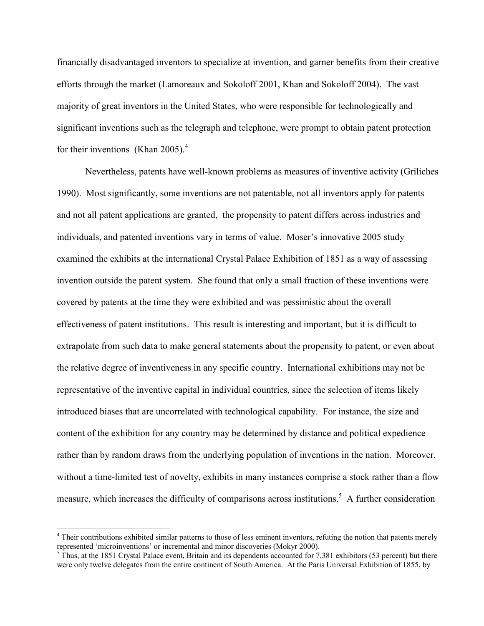financially disadvantaged inventors to specialize at invention, and garner benefits from their creative efforts through the market (Lamoreaux and Sokoloff 2001, Khan and Sokoloff 2004). The vast majority of great inventors in the United States, who were responsible for technologically and significant inventions such as the telegraph and telephone, were prompt to obtain patent protection for their inventions (Khan 2005).<sup>4</sup>

Nevertheless, patents have well-known problems as measures of inventive activity (Griliches 1990). Most significantly, some inventions are not patentable, not all inventors apply for patents and not all patent applications are granted, the propensity to patent differs across industries and individuals, and patented inventions vary in terms of value. Moser's innovative 2005 study examined the exhibits at the international Crystal Palace Exhibition of 1851 as a way of assessing invention outside the patent system. She found that only a small fraction of these inventions were covered by patents at the time they were exhibited and was pessimistic about the overall effectiveness of patent institutions. This result is interesting and important, but it is difficult to extrapolate from such data to make general statements about the propensity to patent, or even about the relative degree of inventiveness in any specific country. International exhibitions may not be representative of the inventive capital in individual countries, since the selection of items likely introduced biases that are uncorrelated with technological capability. For instance, the size and content of the exhibition for any country may be determined by distance and political expedience rather than by random draws from the underlying population of inventions in the nation. Moreover, without a time-limited test of novelty, exhibits in many instances comprise a stock rather than a flow measure, which increases the difficulty of comparisons across institutions.<sup>5</sup> A further consideration

<sup>&</sup>lt;sup>4</sup> Their contributions exhibited similar patterns to those of less eminent inventors, refuting the notion that patents merely represented 'microinventions' or incremental and minor discoveries (Mokyr 2000).<br><sup>5</sup> Thus, at the 1851 Crystal Palace event, Britain and its dependents accounted for 7,381 exhibitors (53 percent) but there

were only twelve delegates from the entire continent of South America. At the Paris Universal Exhibition of 1855, by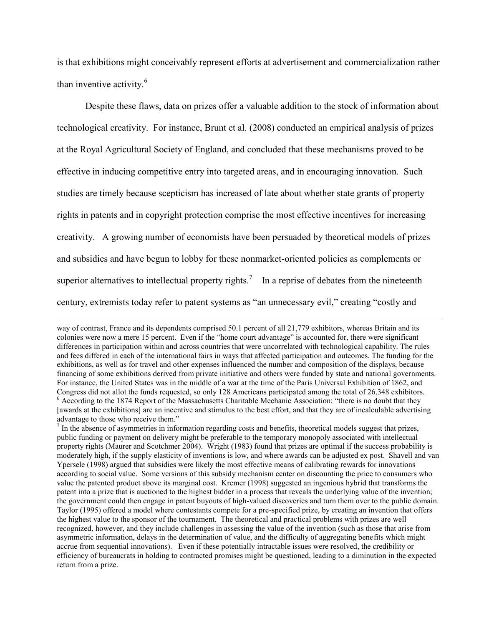is that exhibitions might conceivably represent efforts at advertisement and commercialization rather than inventive activity.<sup>6</sup>

Despite these flaws, data on prizes offer a valuable addition to the stock of information about technological creativity. For instance, Brunt et al. (2008) conducted an empirical analysis of prizes at the Royal Agricultural Society of England, and concluded that these mechanisms proved to be effective in inducing competitive entry into targeted areas, and in encouraging innovation. Such studies are timely because scepticism has increased of late about whether state grants of property rights in patents and in copyright protection comprise the most effective incentives for increasing creativity. A growing number of economists have been persuaded by theoretical models of prizes and subsidies and have begun to lobby for these nonmarket-oriented policies as complements or superior alternatives to intellectual property rights.<sup>7</sup> In a reprise of debates from the nineteenth century, extremists today refer to patent systems as "an unnecessary evil," creating "costly and

way of contrast, France and its dependents comprised 50.1 percent of all 21,779 exhibitors, whereas Britain and its colonies were now a mere 15 percent. Even if the "home court advantage" is accounted for, there were significant differences in participation within and across countries that were uncorrelated with technological capability. The rules and fees differed in each of the international fairs in ways that affected participation and outcomes. The funding for the exhibitions, as well as for travel and other expenses influenced the number and composition of the displays, because financing of some exhibitions derived from private initiative and others were funded by state and national governments. For instance, the United States was in the middle of a war at the time of the Paris Universal Exhibition of 1862, and Congress did not allot the funds requested, so only 128 Americans participated among the total of 26,348 exhibitors. <sup>6</sup> According to the 1874 Report of the Massachusetts Charitable Mechanic Association: "there is no doubt that they [awards at the exhibitions] are an incentive and stimulus to the best effort, and that they are of incalculable advertising advantage to those who receive them."

 $<sup>7</sup>$  In the absence of asymmetries in information regarding costs and benefits, theoretical models suggest that prizes,</sup> public funding or payment on delivery might be preferable to the temporary monopoly associated with intellectual property rights (Maurer and Scotchmer 2004). Wright (1983) found that prizes are optimal if the success probability is moderately high, if the supply elasticity of inventions is low, and where awards can be adjusted ex post. Shavell and van Ypersele (1998) argued that subsidies were likely the most effective means of calibrating rewards for innovations according to social value. Some versions of this subsidy mechanism center on discounting the price to consumers who value the patented product above its marginal cost. Kremer (1998) suggested an ingenious hybrid that transforms the patent into a prize that is auctioned to the highest bidder in a process that reveals the underlying value of the invention; the government could then engage in patent buyouts of high-valued discoveries and turn them over to the public domain. Taylor (1995) offered a model where contestants compete for a pre-specified prize, by creating an invention that offers the highest value to the sponsor of the tournament. The theoretical and practical problems with prizes are well recognized, however, and they include challenges in assessing the value of the invention (such as those that arise from asymmetric information, delays in the determination of value, and the difficulty of aggregating benefits which might accrue from sequential innovations). Even if these potentially intractable issues were resolved, the credibility or efficiency of bureaucrats in holding to contracted promises might be questioned, leading to a diminution in the expected return from a prize.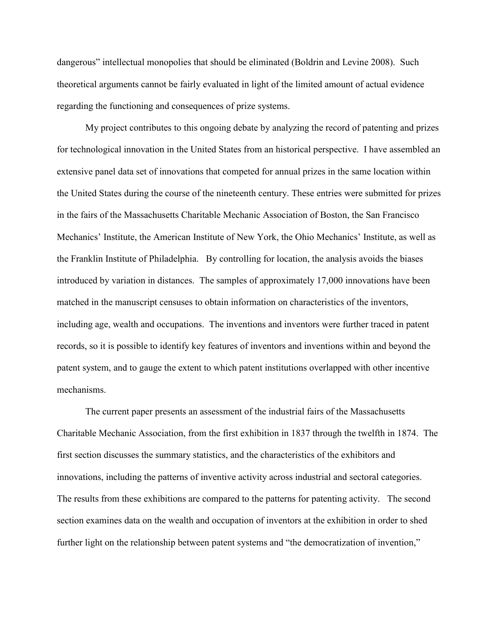dangerous" intellectual monopolies that should be eliminated (Boldrin and Levine 2008). Such theoretical arguments cannot be fairly evaluated in light of the limited amount of actual evidence regarding the functioning and consequences of prize systems.

My project contributes to this ongoing debate by analyzing the record of patenting and prizes for technological innovation in the United States from an historical perspective. I have assembled an extensive panel data set of innovations that competed for annual prizes in the same location within the United States during the course of the nineteenth century. These entries were submitted for prizes in the fairs of the Massachusetts Charitable Mechanic Association of Boston, the San Francisco Mechanics' Institute, the American Institute of New York, the Ohio Mechanics' Institute, as well as the Franklin Institute of Philadelphia. By controlling for location, the analysis avoids the biases introduced by variation in distances. The samples of approximately 17,000 innovations have been matched in the manuscript censuses to obtain information on characteristics of the inventors, including age, wealth and occupations. The inventions and inventors were further traced in patent records, so it is possible to identify key features of inventors and inventions within and beyond the patent system, and to gauge the extent to which patent institutions overlapped with other incentive mechanisms.

The current paper presents an assessment of the industrial fairs of the Massachusetts Charitable Mechanic Association, from the first exhibition in 1837 through the twelfth in 1874. The first section discusses the summary statistics, and the characteristics of the exhibitors and innovations, including the patterns of inventive activity across industrial and sectoral categories. The results from these exhibitions are compared to the patterns for patenting activity. The second section examines data on the wealth and occupation of inventors at the exhibition in order to shed further light on the relationship between patent systems and "the democratization of invention,"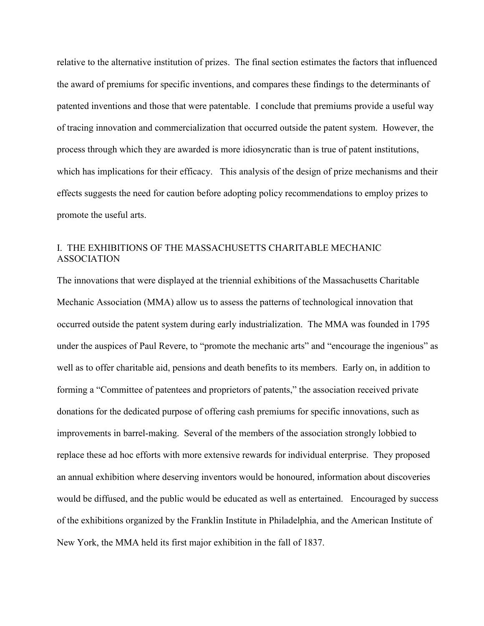relative to the alternative institution of prizes. The final section estimates the factors that influenced the award of premiums for specific inventions, and compares these findings to the determinants of patented inventions and those that were patentable. I conclude that premiums provide a useful way of tracing innovation and commercialization that occurred outside the patent system. However, the process through which they are awarded is more idiosyncratic than is true of patent institutions, which has implications for their efficacy. This analysis of the design of prize mechanisms and their effects suggests the need for caution before adopting policy recommendations to employ prizes to promote the useful arts.

# I. THE EXHIBITIONS OF THE MASSACHUSETTS CHARITABLE MECHANIC ASSOCIATION

The innovations that were displayed at the triennial exhibitions of the Massachusetts Charitable Mechanic Association (MMA) allow us to assess the patterns of technological innovation that occurred outside the patent system during early industrialization. The MMA was founded in 1795 under the auspices of Paul Revere, to "promote the mechanic arts" and "encourage the ingenious" as well as to offer charitable aid, pensions and death benefits to its members. Early on, in addition to forming a "Committee of patentees and proprietors of patents," the association received private donations for the dedicated purpose of offering cash premiums for specific innovations, such as improvements in barrel-making. Several of the members of the association strongly lobbied to replace these ad hoc efforts with more extensive rewards for individual enterprise. They proposed an annual exhibition where deserving inventors would be honoured, information about discoveries would be diffused, and the public would be educated as well as entertained. Encouraged by success of the exhibitions organized by the Franklin Institute in Philadelphia, and the American Institute of New York, the MMA held its first major exhibition in the fall of 1837.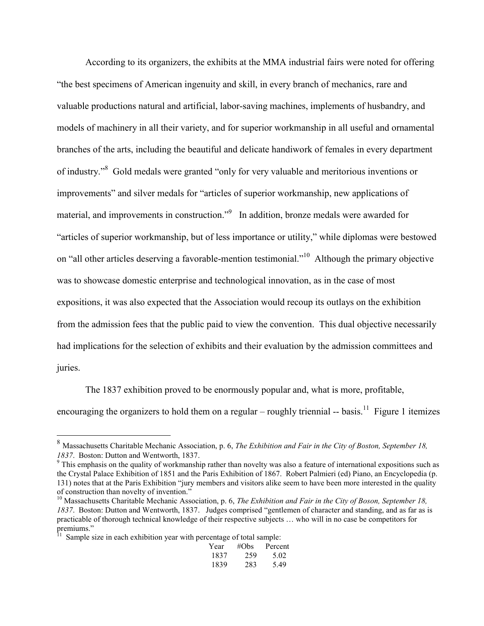According to its organizers, the exhibits at the MMA industrial fairs were noted for offering "the best specimens of American ingenuity and skill, in every branch of mechanics, rare and valuable productions natural and artificial, labor-saving machines, implements of husbandry, and models of machinery in all their variety, and for superior workmanship in all useful and ornamental branches of the arts, including the beautiful and delicate handiwork of females in every department of industry."<sup>8</sup> Gold medals were granted "only for very valuable and meritorious inventions or improvements" and silver medals for "articles of superior workmanship, new applications of material, and improvements in construction."<sup>9</sup> In addition, bronze medals were awarded for "articles of superior workmanship, but of less importance or utility," while diplomas were bestowed on "all other articles deserving a favorable-mention testimonial."<sup>10</sup> Although the primary objective was to showcase domestic enterprise and technological innovation, as in the case of most expositions, it was also expected that the Association would recoup its outlays on the exhibition from the admission fees that the public paid to view the convention. This dual objective necessarily had implications for the selection of exhibits and their evaluation by the admission committees and juries.

The 1837 exhibition proved to be enormously popular and, what is more, profitable, encouraging the organizers to hold them on a regular – roughly triennial -- basis.<sup>11</sup> Figure 1 itemizes

| Year | #Obs | Percent |
|------|------|---------|
| 1837 | 259  | 5.02    |
| 1839 | 283  | 5.49    |

<sup>8</sup> Massachusetts Charitable Mechanic Association, p. 6, *The Exhibition and Fair in the City of Boston, September 18, 1837*. Boston: Dutton and Wentworth, 1837.

<sup>&</sup>lt;sup>9</sup> This emphasis on the quality of workmanship rather than novelty was also a feature of international expositions such as the Crystal Palace Exhibition of 1851 and the Paris Exhibition of 1867. Robert Palmieri (ed) Piano, an Encyclopedia (p. 131) notes that at the Paris Exhibition "jury members and visitors alike seem to have been more interested in the quality of construction than novelty of invention."

<sup>&</sup>lt;sup>10</sup> Massachusetts Charitable Mechanic Association, p. 6, *The Exhibition and Fair in the City of Boson, September 18*, *1837*. Boston: Dutton and Wentworth, 1837. Judges comprised "gentlemen of character and standing, and as far as is practicable of thorough technical knowledge of their respective subjects … who will in no case be competitors for

premiums."<br><sup>11</sup> Sample size in each exhibition year with percentage of total sample: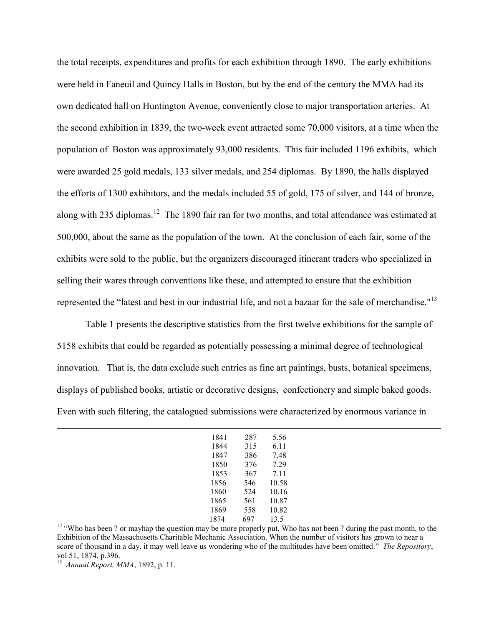the total receipts, expenditures and profits for each exhibition through 1890. The early exhibitions were held in Faneuil and Quincy Halls in Boston, but by the end of the century the MMA had its own dedicated hall on Huntington Avenue, conveniently close to major transportation arteries. At the second exhibition in 1839, the two-week event attracted some 70,000 visitors, at a time when the population of Boston was approximately 93,000 residents. This fair included 1196 exhibits, which were awarded 25 gold medals, 133 silver medals, and 254 diplomas. By 1890, the halls displayed the efforts of 1300 exhibitors, and the medals included 55 of gold, 175 of silver, and 144 of bronze, along with 235 diplomas.<sup>12</sup> The 1890 fair ran for two months, and total attendance was estimated at 500,000, about the same as the population of the town. At the conclusion of each fair, some of the exhibits were sold to the public, but the organizers discouraged itinerant traders who specialized in selling their wares through conventions like these, and attempted to ensure that the exhibition represented the "latest and best in our industrial life, and not a bazaar for the sale of merchandise."<sup>13</sup>

Table 1 presents the descriptive statistics from the first twelve exhibitions for the sample of 5158 exhibits that could be regarded as potentially possessing a minimal degree of technological innovation. That is, the data exclude such entries as fine art paintings, busts, botanical specimens, displays of published books, artistic or decorative designs, confectionery and simple baked goods. Even with such filtering, the catalogued submissions were characterized by enormous variance in

| 1841 | 287 | 5.56  |
|------|-----|-------|
| 1844 | 315 | 6.11  |
| 1847 | 386 | 7.48  |
| 1850 | 376 | 7.29  |
| 1853 | 367 | 7.11  |
| 1856 | 546 | 10.58 |
| 1860 | 524 | 10.16 |
| 1865 | 561 | 10.87 |
| 1869 | 558 | 10.82 |
| 1874 | 697 | 13.5  |

<sup>12</sup> "Who has been ? or mayhap the question may be more properly put, Who has not been ? during the past month, to the Exhibition of the Massachusetts Charitable Mechanic Association. When the number of visitors has grown to near a score of thousand in a day, it may well leave us wondering who of the multitudes have been omitted." *The Repository*, vol 51, 1874, p.396.

<sup>13</sup> *Annual Report, MMA*, 1892, p. 11.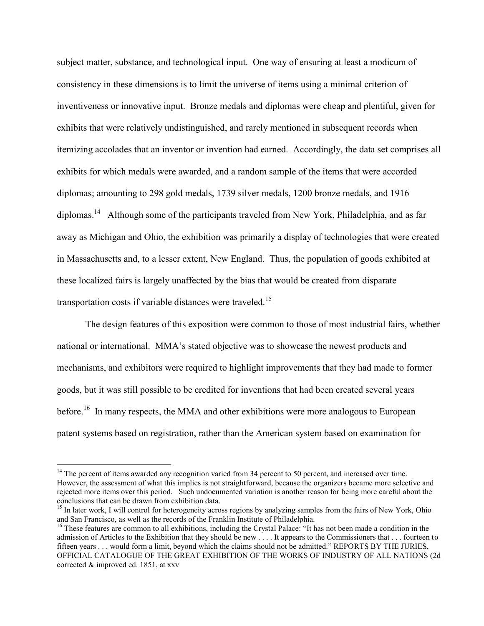subject matter, substance, and technological input. One way of ensuring at least a modicum of consistency in these dimensions is to limit the universe of items using a minimal criterion of inventiveness or innovative input. Bronze medals and diplomas were cheap and plentiful, given for exhibits that were relatively undistinguished, and rarely mentioned in subsequent records when itemizing accolades that an inventor or invention had earned. Accordingly, the data set comprises all exhibits for which medals were awarded, and a random sample of the items that were accorded diplomas; amounting to 298 gold medals, 1739 silver medals, 1200 bronze medals, and 1916 diplomas.<sup>14</sup> Although some of the participants traveled from New York, Philadelphia, and as far away as Michigan and Ohio, the exhibition was primarily a display of technologies that were created in Massachusetts and, to a lesser extent, New England. Thus, the population of goods exhibited at these localized fairs is largely unaffected by the bias that would be created from disparate transportation costs if variable distances were traveled.<sup>15</sup>

The design features of this exposition were common to those of most industrial fairs, whether national or international. MMA's stated objective was to showcase the newest products and mechanisms, and exhibitors were required to highlight improvements that they had made to former goods, but it was still possible to be credited for inventions that had been created several years before.<sup>16</sup> In many respects, the MMA and other exhibitions were more analogous to European patent systems based on registration, rather than the American system based on examination for

<sup>&</sup>lt;sup>14</sup> The percent of items awarded any recognition varied from 34 percent to 50 percent, and increased over time. However, the assessment of what this implies is not straightforward, because the organizers became more selective and rejected more items over this period. Such undocumented variation is another reason for being more careful about the conclusions that can be drawn from exhibition data.

<sup>&</sup>lt;sup>15</sup> In later work, I will control for heterogeneity across regions by analyzing samples from the fairs of New York, Ohio and San Francisco, as well as the records of the Franklin Institute of Philadelphia.

<sup>&</sup>lt;sup>16</sup> These features are common to all exhibitions, including the Crystal Palace: "It has not been made a condition in the admission of Articles to the Exhibition that they should be new . . . . It appears to the Commissioners that . . . fourteen to fifteen years . . . would form a limit, beyond which the claims should not be admitted." REPORTS BY THE JURIES, OFFICIAL CATALOGUE OF THE GREAT EXHIBITION OF THE WORKS OF INDUSTRY OF ALL NATIONS (2d corrected & improved ed. 1851, at xxv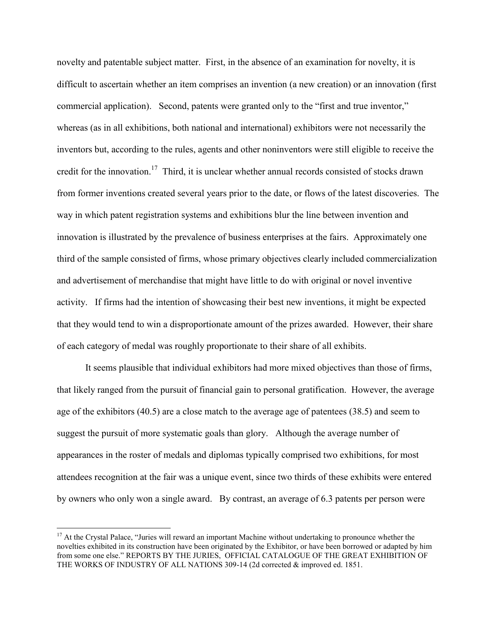novelty and patentable subject matter. First, in the absence of an examination for novelty, it is difficult to ascertain whether an item comprises an invention (a new creation) or an innovation (first commercial application). Second, patents were granted only to the "first and true inventor," whereas (as in all exhibitions, both national and international) exhibitors were not necessarily the inventors but, according to the rules, agents and other noninventors were still eligible to receive the credit for the innovation.<sup>17</sup> Third, it is unclear whether annual records consisted of stocks drawn from former inventions created several years prior to the date, or flows of the latest discoveries. The way in which patent registration systems and exhibitions blur the line between invention and innovation is illustrated by the prevalence of business enterprises at the fairs. Approximately one third of the sample consisted of firms, whose primary objectives clearly included commercialization and advertisement of merchandise that might have little to do with original or novel inventive activity. If firms had the intention of showcasing their best new inventions, it might be expected that they would tend to win a disproportionate amount of the prizes awarded. However, their share of each category of medal was roughly proportionate to their share of all exhibits.

It seems plausible that individual exhibitors had more mixed objectives than those of firms, that likely ranged from the pursuit of financial gain to personal gratification. However, the average age of the exhibitors (40.5) are a close match to the average age of patentees (38.5) and seem to suggest the pursuit of more systematic goals than glory. Although the average number of appearances in the roster of medals and diplomas typically comprised two exhibitions, for most attendees recognition at the fair was a unique event, since two thirds of these exhibits were entered by owners who only won a single award. By contrast, an average of 6.3 patents per person were

<sup>&</sup>lt;sup>17</sup> At the Crystal Palace, "Juries will reward an important Machine without undertaking to pronounce whether the novelties exhibited in its construction have been originated by the Exhibitor, or have been borrowed or adapted by him from some one else." REPORTS BY THE JURIES, OFFICIAL CATALOGUE OF THE GREAT EXHIBITION OF THE WORKS OF INDUSTRY OF ALL NATIONS 309-14 (2d corrected & improved ed. 1851.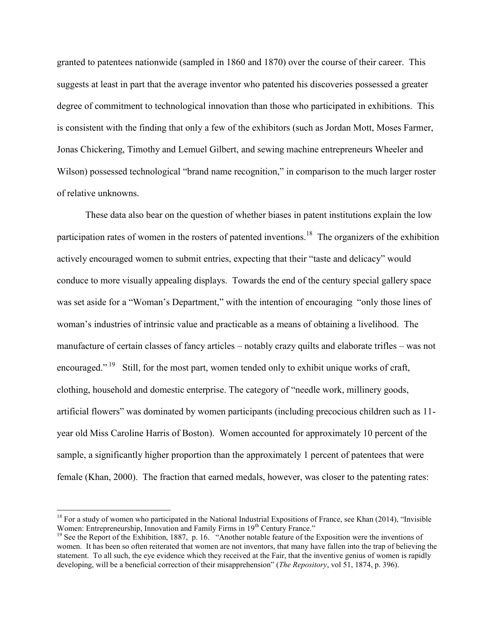granted to patentees nationwide (sampled in 1860 and 1870) over the course of their career. This suggests at least in part that the average inventor who patented his discoveries possessed a greater degree of commitment to technological innovation than those who participated in exhibitions. This is consistent with the finding that only a few of the exhibitors (such as Jordan Mott, Moses Farmer, Jonas Chickering, Timothy and Lemuel Gilbert, and sewing machine entrepreneurs Wheeler and Wilson) possessed technological "brand name recognition," in comparison to the much larger roster of relative unknowns.

These data also bear on the question of whether biases in patent institutions explain the low participation rates of women in the rosters of patented inventions.<sup>18</sup> The organizers of the exhibition actively encouraged women to submit entries, expecting that their "taste and delicacy" would conduce to more visually appealing displays. Towards the end of the century special gallery space was set aside for a "Woman's Department," with the intention of encouraging "only those lines of woman's industries of intrinsic value and practicable as a means of obtaining a livelihood. The manufacture of certain classes of fancy articles – notably crazy quilts and elaborate trifles – was not encouraged."<sup>19</sup> Still, for the most part, women tended only to exhibit unique works of craft, clothing, household and domestic enterprise. The category of "needle work, millinery goods, artificial flowers" was dominated by women participants (including precocious children such as 11 year old Miss Caroline Harris of Boston). Women accounted for approximately 10 percent of the sample, a significantly higher proportion than the approximately 1 percent of patentees that were female (Khan, 2000). The fraction that earned medals, however, was closer to the patenting rates:

<sup>&</sup>lt;sup>18</sup> For a study of women who participated in the National Industrial Expositions of France, see Khan (2014), "Invisible Women: Entrepreneurship, Innovation and Family Firms in 19<sup>th</sup> Century France."

<sup>&</sup>lt;sup>19</sup> See the Report of the Exhibition, 1887, p. 16. "Another notable feature of the Exposition were the inventions of women. It has been so often reiterated that women are not inventors, that many have fallen into the trap of believing the statement. To all such, the eye evidence which they received at the Fair, that the inventive genius of women is rapidly developing, will be a beneficial correction of their misapprehension" (*The Repository*, vol 51, 1874, p. 396).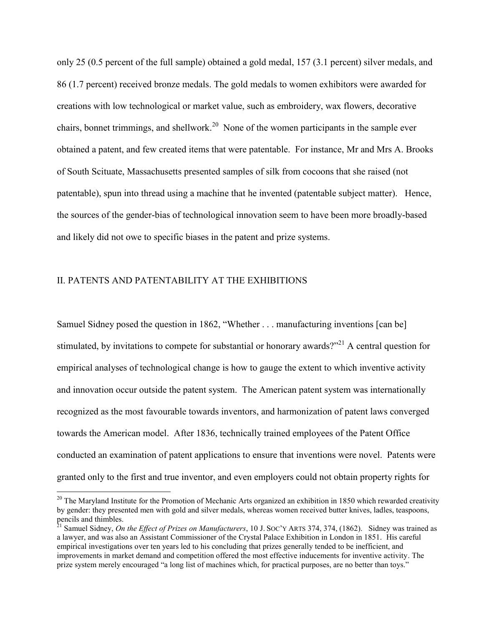only 25 (0.5 percent of the full sample) obtained a gold medal, 157 (3.1 percent) silver medals, and 86 (1.7 percent) received bronze medals. The gold medals to women exhibitors were awarded for creations with low technological or market value, such as embroidery, wax flowers, decorative chairs, bonnet trimmings, and shellwork.<sup>20</sup> None of the women participants in the sample ever obtained a patent, and few created items that were patentable. For instance, Mr and Mrs A. Brooks of South Scituate, Massachusetts presented samples of silk from cocoons that she raised (not patentable), spun into thread using a machine that he invented (patentable subject matter). Hence, the sources of the gender-bias of technological innovation seem to have been more broadly-based and likely did not owe to specific biases in the patent and prize systems.

### II. PATENTS AND PATENTABILITY AT THE EXHIBITIONS

 $\overline{a}$ 

Samuel Sidney posed the question in 1862, "Whether . . . manufacturing inventions [can be] stimulated, by invitations to compete for substantial or honorary awards?"<sup>21</sup> A central question for empirical analyses of technological change is how to gauge the extent to which inventive activity and innovation occur outside the patent system. The American patent system was internationally recognized as the most favourable towards inventors, and harmonization of patent laws converged towards the American model. After 1836, technically trained employees of the Patent Office conducted an examination of patent applications to ensure that inventions were novel. Patents were granted only to the first and true inventor, and even employers could not obtain property rights for

 $20$  The Maryland Institute for the Promotion of Mechanic Arts organized an exhibition in 1850 which rewarded creativity by gender: they presented men with gold and silver medals, whereas women received butter knives, ladles, teaspoons, pencils and thimbles.

<sup>&</sup>lt;sup>21</sup> Samuel Sidney, *On the Effect of Prizes on Manufacturers*, 10 J. Soc'Y ARTS 374, 374, (1862). Sidney was trained as a lawyer, and was also an Assistant Commissioner of the Crystal Palace Exhibition in London in 1851. His careful empirical investigations over ten years led to his concluding that prizes generally tended to be inefficient, and improvements in market demand and competition offered the most effective inducements for inventive activity. The prize system merely encouraged "a long list of machines which, for practical purposes, are no better than toys."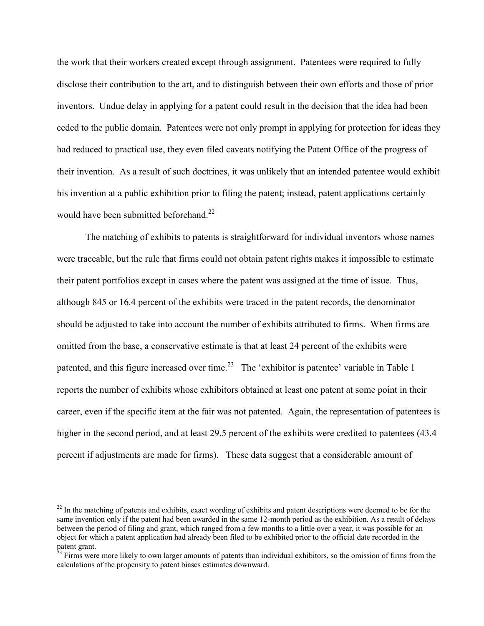the work that their workers created except through assignment. Patentees were required to fully disclose their contribution to the art, and to distinguish between their own efforts and those of prior inventors. Undue delay in applying for a patent could result in the decision that the idea had been ceded to the public domain. Patentees were not only prompt in applying for protection for ideas they had reduced to practical use, they even filed caveats notifying the Patent Office of the progress of their invention. As a result of such doctrines, it was unlikely that an intended patentee would exhibit his invention at a public exhibition prior to filing the patent; instead, patent applications certainly would have been submitted beforehand.<sup>22</sup>

 The matching of exhibits to patents is straightforward for individual inventors whose names were traceable, but the rule that firms could not obtain patent rights makes it impossible to estimate their patent portfolios except in cases where the patent was assigned at the time of issue. Thus, although 845 or 16.4 percent of the exhibits were traced in the patent records, the denominator should be adjusted to take into account the number of exhibits attributed to firms. When firms are omitted from the base, a conservative estimate is that at least 24 percent of the exhibits were patented, and this figure increased over time.<sup>23</sup> The 'exhibitor is patentee' variable in Table 1 reports the number of exhibits whose exhibitors obtained at least one patent at some point in their career, even if the specific item at the fair was not patented. Again, the representation of patentees is higher in the second period, and at least 29.5 percent of the exhibits were credited to patentees (43.4) percent if adjustments are made for firms). These data suggest that a considerable amount of

 $22$  In the matching of patents and exhibits, exact wording of exhibits and patent descriptions were deemed to be for the same invention only if the patent had been awarded in the same 12-month period as the exhibition. As a result of delays between the period of filing and grant, which ranged from a few months to a little over a year, it was possible for an object for which a patent application had already been filed to be exhibited prior to the official date recorded in the patent grant.

 $^{23}$  Firms were more likely to own larger amounts of patents than individual exhibitors, so the omission of firms from the calculations of the propensity to patent biases estimates downward.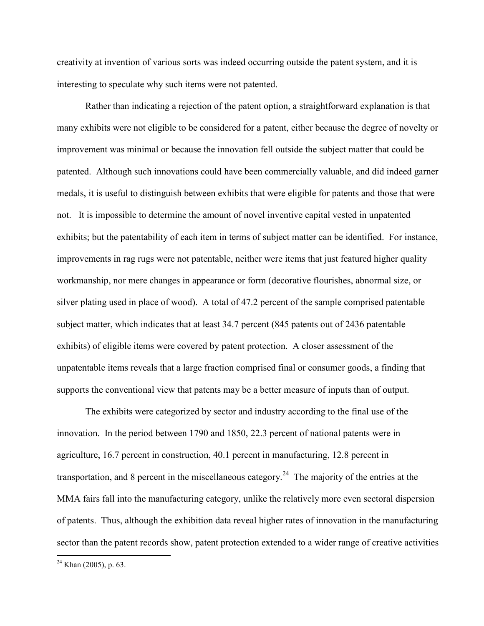creativity at invention of various sorts was indeed occurring outside the patent system, and it is interesting to speculate why such items were not patented.

Rather than indicating a rejection of the patent option, a straightforward explanation is that many exhibits were not eligible to be considered for a patent, either because the degree of novelty or improvement was minimal or because the innovation fell outside the subject matter that could be patented. Although such innovations could have been commercially valuable, and did indeed garner medals, it is useful to distinguish between exhibits that were eligible for patents and those that were not. It is impossible to determine the amount of novel inventive capital vested in unpatented exhibits; but the patentability of each item in terms of subject matter can be identified. For instance, improvements in rag rugs were not patentable, neither were items that just featured higher quality workmanship, nor mere changes in appearance or form (decorative flourishes, abnormal size, or silver plating used in place of wood). A total of 47.2 percent of the sample comprised patentable subject matter, which indicates that at least 34.7 percent (845 patents out of 2436 patentable exhibits) of eligible items were covered by patent protection. A closer assessment of the unpatentable items reveals that a large fraction comprised final or consumer goods, a finding that supports the conventional view that patents may be a better measure of inputs than of output.

 The exhibits were categorized by sector and industry according to the final use of the innovation. In the period between 1790 and 1850, 22.3 percent of national patents were in agriculture, 16.7 percent in construction, 40.1 percent in manufacturing, 12.8 percent in transportation, and 8 percent in the miscellaneous category.<sup>24</sup> The majority of the entries at the MMA fairs fall into the manufacturing category, unlike the relatively more even sectoral dispersion of patents. Thus, although the exhibition data reveal higher rates of innovation in the manufacturing sector than the patent records show, patent protection extended to a wider range of creative activities

 $2<sup>24</sup>$  Khan (2005), p. 63.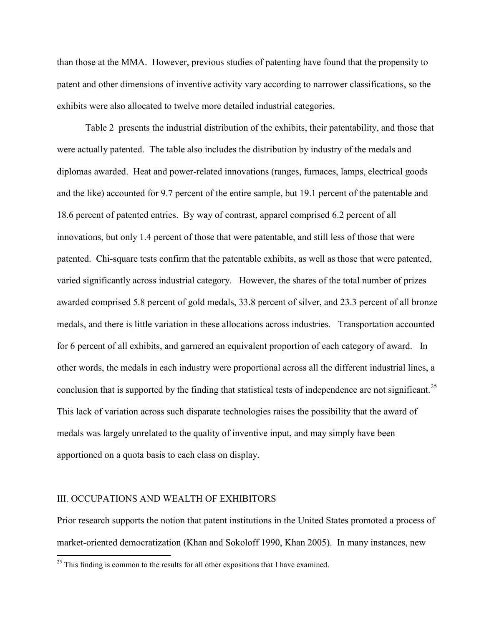than those at the MMA. However, previous studies of patenting have found that the propensity to patent and other dimensions of inventive activity vary according to narrower classifications, so the exhibits were also allocated to twelve more detailed industrial categories.

Table 2 presents the industrial distribution of the exhibits, their patentability, and those that were actually patented. The table also includes the distribution by industry of the medals and diplomas awarded. Heat and power-related innovations (ranges, furnaces, lamps, electrical goods and the like) accounted for 9.7 percent of the entire sample, but 19.1 percent of the patentable and 18.6 percent of patented entries. By way of contrast, apparel comprised 6.2 percent of all innovations, but only 1.4 percent of those that were patentable, and still less of those that were patented. Chi-square tests confirm that the patentable exhibits, as well as those that were patented, varied significantly across industrial category. However, the shares of the total number of prizes awarded comprised 5.8 percent of gold medals, 33.8 percent of silver, and 23.3 percent of all bronze medals, and there is little variation in these allocations across industries. Transportation accounted for 6 percent of all exhibits, and garnered an equivalent proportion of each category of award. In other words, the medals in each industry were proportional across all the different industrial lines, a conclusion that is supported by the finding that statistical tests of independence are not significant.<sup>25</sup> This lack of variation across such disparate technologies raises the possibility that the award of medals was largely unrelated to the quality of inventive input, and may simply have been apportioned on a quota basis to each class on display.

### III. OCCUPATIONS AND WEALTH OF EXHIBITORS

 $\overline{a}$ 

Prior research supports the notion that patent institutions in the United States promoted a process of market-oriented democratization (Khan and Sokoloff 1990, Khan 2005). In many instances, new

 $25$  This finding is common to the results for all other expositions that I have examined.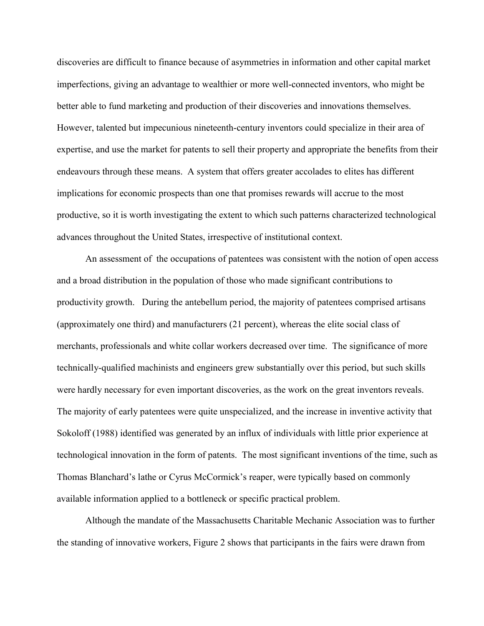discoveries are difficult to finance because of asymmetries in information and other capital market imperfections, giving an advantage to wealthier or more well-connected inventors, who might be better able to fund marketing and production of their discoveries and innovations themselves. However, talented but impecunious nineteenth-century inventors could specialize in their area of expertise, and use the market for patents to sell their property and appropriate the benefits from their endeavours through these means. A system that offers greater accolades to elites has different implications for economic prospects than one that promises rewards will accrue to the most productive, so it is worth investigating the extent to which such patterns characterized technological advances throughout the United States, irrespective of institutional context.

An assessment of the occupations of patentees was consistent with the notion of open access and a broad distribution in the population of those who made significant contributions to productivity growth. During the antebellum period, the majority of patentees comprised artisans (approximately one third) and manufacturers (21 percent), whereas the elite social class of merchants, professionals and white collar workers decreased over time. The significance of more technically-qualified machinists and engineers grew substantially over this period, but such skills were hardly necessary for even important discoveries, as the work on the great inventors reveals. The majority of early patentees were quite unspecialized, and the increase in inventive activity that Sokoloff (1988) identified was generated by an influx of individuals with little prior experience at technological innovation in the form of patents. The most significant inventions of the time, such as Thomas Blanchard's lathe or Cyrus McCormick's reaper, were typically based on commonly available information applied to a bottleneck or specific practical problem.

 Although the mandate of the Massachusetts Charitable Mechanic Association was to further the standing of innovative workers, Figure 2 shows that participants in the fairs were drawn from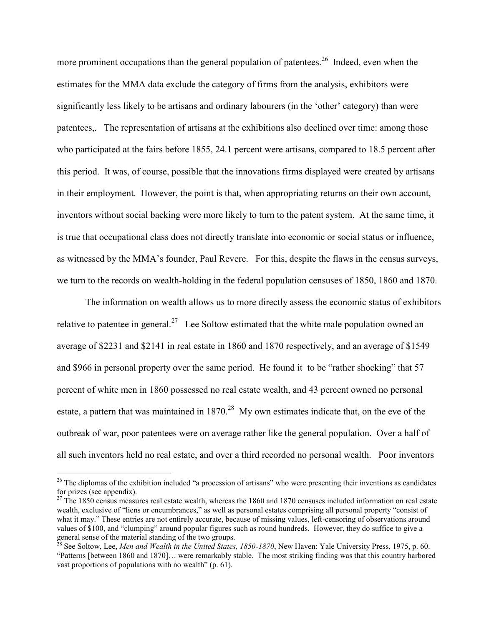more prominent occupations than the general population of patentees.<sup>26</sup> Indeed, even when the estimates for the MMA data exclude the category of firms from the analysis, exhibitors were significantly less likely to be artisans and ordinary labourers (in the 'other' category) than were patentees,. The representation of artisans at the exhibitions also declined over time: among those who participated at the fairs before 1855, 24.1 percent were artisans, compared to 18.5 percent after this period. It was, of course, possible that the innovations firms displayed were created by artisans in their employment. However, the point is that, when appropriating returns on their own account, inventors without social backing were more likely to turn to the patent system. At the same time, it is true that occupational class does not directly translate into economic or social status or influence, as witnessed by the MMA's founder, Paul Revere. For this, despite the flaws in the census surveys, we turn to the records on wealth-holding in the federal population censuses of 1850, 1860 and 1870.

The information on wealth allows us to more directly assess the economic status of exhibitors relative to patentee in general.<sup>27</sup> Lee Soltow estimated that the white male population owned an average of \$2231 and \$2141 in real estate in 1860 and 1870 respectively, and an average of \$1549 and \$966 in personal property over the same period. He found it to be "rather shocking" that 57 percent of white men in 1860 possessed no real estate wealth, and 43 percent owned no personal estate, a pattern that was maintained in  $1870.^{28}$  My own estimates indicate that, on the eve of the outbreak of war, poor patentees were on average rather like the general population. Over a half of all such inventors held no real estate, and over a third recorded no personal wealth. Poor inventors

 $26$  The diplomas of the exhibition included "a procession of artisans" who were presenting their inventions as candidates for prizes (see appendix).

 $27$  The 1850 census measures real estate wealth, whereas the 1860 and 1870 censuses included information on real estate wealth, exclusive of "liens or encumbrances," as well as personal estates comprising all personal property "consist of what it may." These entries are not entirely accurate, because of missing values, left-censoring of observations around values of \$100, and "clumping" around popular figures such as round hundreds. However, they do suffice to give a general sense of the material standing of the two groups.

<sup>28</sup> See Soltow, Lee, *Men and Wealth in the United States, 1850-1870*, New Haven: Yale University Press, 1975, p. 60. "Patterns [between 1860 and 1870]… were remarkably stable. The most striking finding was that this country harbored vast proportions of populations with no wealth" (p. 61).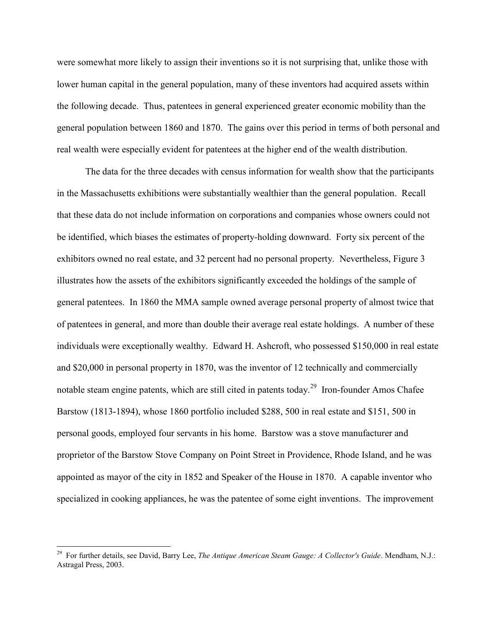were somewhat more likely to assign their inventions so it is not surprising that, unlike those with lower human capital in the general population, many of these inventors had acquired assets within the following decade. Thus, patentees in general experienced greater economic mobility than the general population between 1860 and 1870. The gains over this period in terms of both personal and real wealth were especially evident for patentees at the higher end of the wealth distribution.

The data for the three decades with census information for wealth show that the participants in the Massachusetts exhibitions were substantially wealthier than the general population. Recall that these data do not include information on corporations and companies whose owners could not be identified, which biases the estimates of property-holding downward. Forty six percent of the exhibitors owned no real estate, and 32 percent had no personal property. Nevertheless, Figure 3 illustrates how the assets of the exhibitors significantly exceeded the holdings of the sample of general patentees. In 1860 the MMA sample owned average personal property of almost twice that of patentees in general, and more than double their average real estate holdings. A number of these individuals were exceptionally wealthy. Edward H. Ashcroft, who possessed \$150,000 in real estate and \$20,000 in personal property in 1870, was the inventor of 12 technically and commercially notable steam engine patents, which are still cited in patents today.<sup>29</sup> Iron-founder Amos Chafee Barstow (1813-1894), whose 1860 portfolio included \$288, 500 in real estate and \$151, 500 in personal goods, employed four servants in his home. Barstow was a stove manufacturer and proprietor of the Barstow Stove Company on Point Street in Providence, Rhode Island, and he was appointed as mayor of the city in 1852 and Speaker of the House in 1870. A capable inventor who specialized in cooking appliances, he was the patentee of some eight inventions. The improvement

 29 For further details, see David, Barry Lee, *The Antique American Steam Gauge: A Collector's Guide*. Mendham, N.J.: Astragal Press, 2003.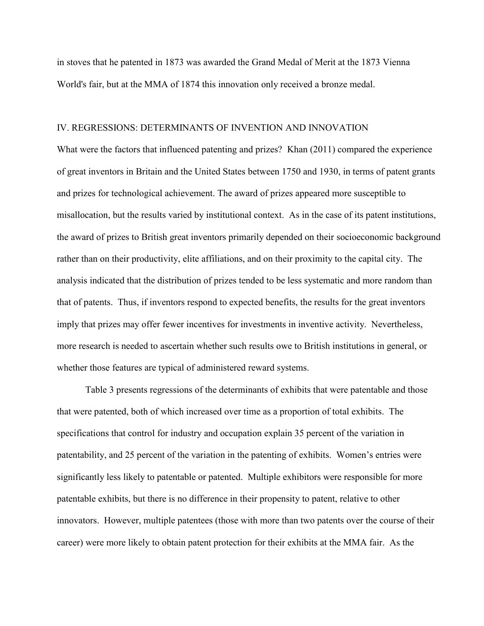in stoves that he patented in 1873 was awarded the Grand Medal of Merit at the 1873 Vienna World's fair, but at the MMA of 1874 this innovation only received a bronze medal.

### IV. REGRESSIONS: DETERMINANTS OF INVENTION AND INNOVATION

What were the factors that influenced patenting and prizes? Khan (2011) compared the experience of great inventors in Britain and the United States between 1750 and 1930, in terms of patent grants and prizes for technological achievement. The award of prizes appeared more susceptible to misallocation, but the results varied by institutional context. As in the case of its patent institutions, the award of prizes to British great inventors primarily depended on their socioeconomic background rather than on their productivity, elite affiliations, and on their proximity to the capital city. The analysis indicated that the distribution of prizes tended to be less systematic and more random than that of patents. Thus, if inventors respond to expected benefits, the results for the great inventors imply that prizes may offer fewer incentives for investments in inventive activity. Nevertheless, more research is needed to ascertain whether such results owe to British institutions in general, or whether those features are typical of administered reward systems.

Table 3 presents regressions of the determinants of exhibits that were patentable and those that were patented, both of which increased over time as a proportion of total exhibits. The specifications that control for industry and occupation explain 35 percent of the variation in patentability, and 25 percent of the variation in the patenting of exhibits. Women's entries were significantly less likely to patentable or patented. Multiple exhibitors were responsible for more patentable exhibits, but there is no difference in their propensity to patent, relative to other innovators. However, multiple patentees (those with more than two patents over the course of their career) were more likely to obtain patent protection for their exhibits at the MMA fair. As the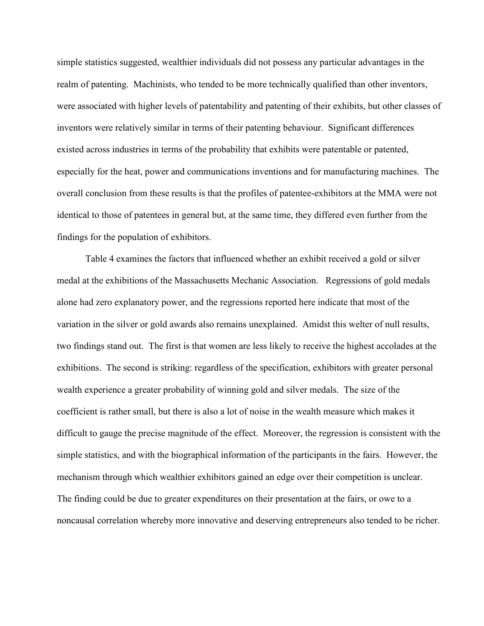simple statistics suggested, wealthier individuals did not possess any particular advantages in the realm of patenting. Machinists, who tended to be more technically qualified than other inventors, were associated with higher levels of patentability and patenting of their exhibits, but other classes of inventors were relatively similar in terms of their patenting behaviour. Significant differences existed across industries in terms of the probability that exhibits were patentable or patented, especially for the heat, power and communications inventions and for manufacturing machines. The overall conclusion from these results is that the profiles of patentee-exhibitors at the MMA were not identical to those of patentees in general but, at the same time, they differed even further from the findings for the population of exhibitors.

Table 4 examines the factors that influenced whether an exhibit received a gold or silver medal at the exhibitions of the Massachusetts Mechanic Association. Regressions of gold medals alone had zero explanatory power, and the regressions reported here indicate that most of the variation in the silver or gold awards also remains unexplained. Amidst this welter of null results, two findings stand out. The first is that women are less likely to receive the highest accolades at the exhibitions. The second is striking: regardless of the specification, exhibitors with greater personal wealth experience a greater probability of winning gold and silver medals. The size of the coefficient is rather small, but there is also a lot of noise in the wealth measure which makes it difficult to gauge the precise magnitude of the effect. Moreover, the regression is consistent with the simple statistics, and with the biographical information of the participants in the fairs. However, the mechanism through which wealthier exhibitors gained an edge over their competition is unclear. The finding could be due to greater expenditures on their presentation at the fairs, or owe to a noncausal correlation whereby more innovative and deserving entrepreneurs also tended to be richer.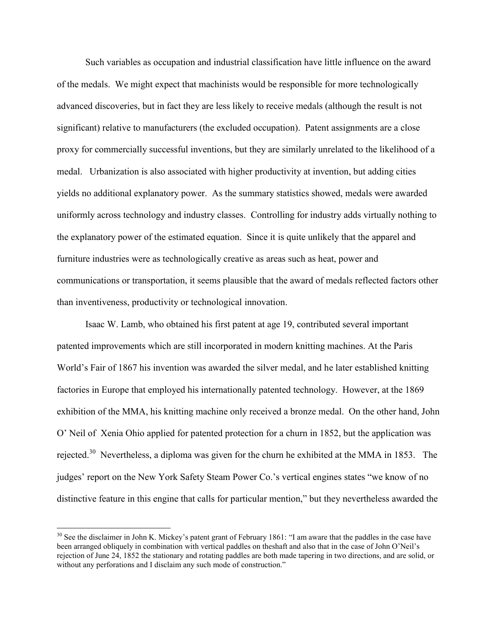Such variables as occupation and industrial classification have little influence on the award of the medals. We might expect that machinists would be responsible for more technologically advanced discoveries, but in fact they are less likely to receive medals (although the result is not significant) relative to manufacturers (the excluded occupation). Patent assignments are a close proxy for commercially successful inventions, but they are similarly unrelated to the likelihood of a medal. Urbanization is also associated with higher productivity at invention, but adding cities yields no additional explanatory power. As the summary statistics showed, medals were awarded uniformly across technology and industry classes. Controlling for industry adds virtually nothing to the explanatory power of the estimated equation. Since it is quite unlikely that the apparel and furniture industries were as technologically creative as areas such as heat, power and communications or transportation, it seems plausible that the award of medals reflected factors other than inventiveness, productivity or technological innovation.

Isaac W. Lamb, who obtained his first patent at age 19, contributed several important patented improvements which are still incorporated in modern knitting machines. At the Paris World's Fair of 1867 his invention was awarded the silver medal, and he later established knitting factories in Europe that employed his internationally patented technology. However, at the 1869 exhibition of the MMA, his knitting machine only received a bronze medal. On the other hand, John O' Neil of Xenia Ohio applied for patented protection for a churn in 1852, but the application was rejected.<sup>30</sup> Nevertheless, a diploma was given for the churn he exhibited at the MMA in 1853. The judges' report on the New York Safety Steam Power Co.'s vertical engines states "we know of no distinctive feature in this engine that calls for particular mention," but they nevertheless awarded the

 $30$  See the disclaimer in John K. Mickey's patent grant of February 1861: "I am aware that the paddles in the case have been arranged obliquely in combination with vertical paddles on theshaft and also that in the case of John O'Neil's rejection of June 24, 1852 the stationary and rotating paddles are both made tapering in two directions, and are solid, or without any perforations and I disclaim any such mode of construction."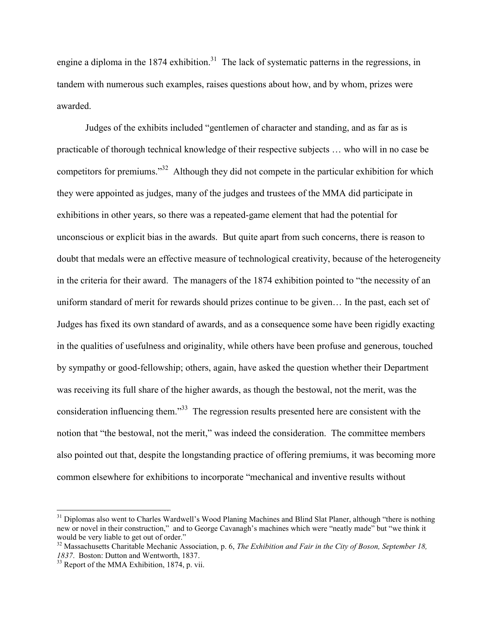engine a diploma in the 1874 exhibition.<sup>31</sup> The lack of systematic patterns in the regressions, in tandem with numerous such examples, raises questions about how, and by whom, prizes were awarded.

Judges of the exhibits included "gentlemen of character and standing, and as far as is practicable of thorough technical knowledge of their respective subjects … who will in no case be competitors for premiums."<sup>32</sup> Although they did not compete in the particular exhibition for which they were appointed as judges, many of the judges and trustees of the MMA did participate in exhibitions in other years, so there was a repeated-game element that had the potential for unconscious or explicit bias in the awards. But quite apart from such concerns, there is reason to doubt that medals were an effective measure of technological creativity, because of the heterogeneity in the criteria for their award. The managers of the 1874 exhibition pointed to "the necessity of an uniform standard of merit for rewards should prizes continue to be given… In the past, each set of Judges has fixed its own standard of awards, and as a consequence some have been rigidly exacting in the qualities of usefulness and originality, while others have been profuse and generous, touched by sympathy or good-fellowship; others, again, have asked the question whether their Department was receiving its full share of the higher awards, as though the bestowal, not the merit, was the consideration influencing them."<sup>33</sup> The regression results presented here are consistent with the notion that "the bestowal, not the merit," was indeed the consideration. The committee members also pointed out that, despite the longstanding practice of offering premiums, it was becoming more common elsewhere for exhibitions to incorporate "mechanical and inventive results without

<sup>&</sup>lt;sup>31</sup> Diplomas also went to Charles Wardwell's Wood Planing Machines and Blind Slat Planer, although "there is nothing new or novel in their construction," and to George Cavanagh's machines which were "neatly made" but "we think it would be very liable to get out of order."

<sup>&</sup>lt;sup>32</sup> Massachusetts Charitable Mechanic Association, p. 6, *The Exhibition and Fair in the City of Boson, September 18*, *1837*. Boston: Dutton and Wentworth, 1837.

 $33$  Report of the MMA Exhibition, 1874, p. vii.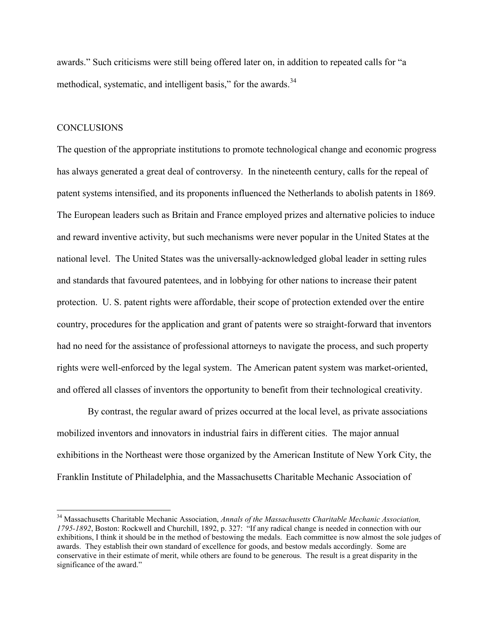awards." Such criticisms were still being offered later on, in addition to repeated calls for "a methodical, systematic, and intelligent basis," for the awards. $34$ 

### **CONCLUSIONS**

 $\overline{a}$ 

The question of the appropriate institutions to promote technological change and economic progress has always generated a great deal of controversy. In the nineteenth century, calls for the repeal of patent systems intensified, and its proponents influenced the Netherlands to abolish patents in 1869. The European leaders such as Britain and France employed prizes and alternative policies to induce and reward inventive activity, but such mechanisms were never popular in the United States at the national level. The United States was the universally-acknowledged global leader in setting rules and standards that favoured patentees, and in lobbying for other nations to increase their patent protection. U. S. patent rights were affordable, their scope of protection extended over the entire country, procedures for the application and grant of patents were so straight-forward that inventors had no need for the assistance of professional attorneys to navigate the process, and such property rights were well-enforced by the legal system. The American patent system was market-oriented, and offered all classes of inventors the opportunity to benefit from their technological creativity.

By contrast, the regular award of prizes occurred at the local level, as private associations mobilized inventors and innovators in industrial fairs in different cities. The major annual exhibitions in the Northeast were those organized by the American Institute of New York City, the Franklin Institute of Philadelphia, and the Massachusetts Charitable Mechanic Association of

<sup>34</sup> Massachusetts Charitable Mechanic Association, *Annals of the Massachusetts Charitable Mechanic Association, 1795-1892*, Boston: Rockwell and Churchill, 1892, p. 327: "If any radical change is needed in connection with our exhibitions, I think it should be in the method of bestowing the medals. Each committee is now almost the sole judges of awards. They establish their own standard of excellence for goods, and bestow medals accordingly. Some are conservative in their estimate of merit, while others are found to be generous. The result is a great disparity in the significance of the award."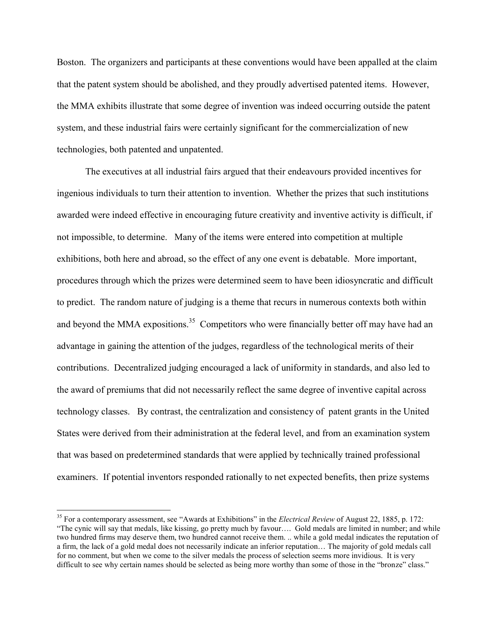Boston. The organizers and participants at these conventions would have been appalled at the claim that the patent system should be abolished, and they proudly advertised patented items. However, the MMA exhibits illustrate that some degree of invention was indeed occurring outside the patent system, and these industrial fairs were certainly significant for the commercialization of new technologies, both patented and unpatented.

The executives at all industrial fairs argued that their endeavours provided incentives for ingenious individuals to turn their attention to invention. Whether the prizes that such institutions awarded were indeed effective in encouraging future creativity and inventive activity is difficult, if not impossible, to determine. Many of the items were entered into competition at multiple exhibitions, both here and abroad, so the effect of any one event is debatable. More important, procedures through which the prizes were determined seem to have been idiosyncratic and difficult to predict. The random nature of judging is a theme that recurs in numerous contexts both within and beyond the MMA expositions.<sup>35</sup> Competitors who were financially better off may have had an advantage in gaining the attention of the judges, regardless of the technological merits of their contributions. Decentralized judging encouraged a lack of uniformity in standards, and also led to the award of premiums that did not necessarily reflect the same degree of inventive capital across technology classes. By contrast, the centralization and consistency of patent grants in the United States were derived from their administration at the federal level, and from an examination system that was based on predetermined standards that were applied by technically trained professional examiners. If potential inventors responded rationally to net expected benefits, then prize systems

<sup>35</sup> For a contemporary assessment, see "Awards at Exhibitions" in the *Electrical Review* of August 22, 1885, p. 172: "The cynic will say that medals, like kissing, go pretty much by favour…. Gold medals are limited in number; and while two hundred firms may deserve them, two hundred cannot receive them. .. while a gold medal indicates the reputation of a firm, the lack of a gold medal does not necessarily indicate an inferior reputation… The majority of gold medals call for no comment, but when we come to the silver medals the process of selection seems more invidious. It is very difficult to see why certain names should be selected as being more worthy than some of those in the "bronze" class."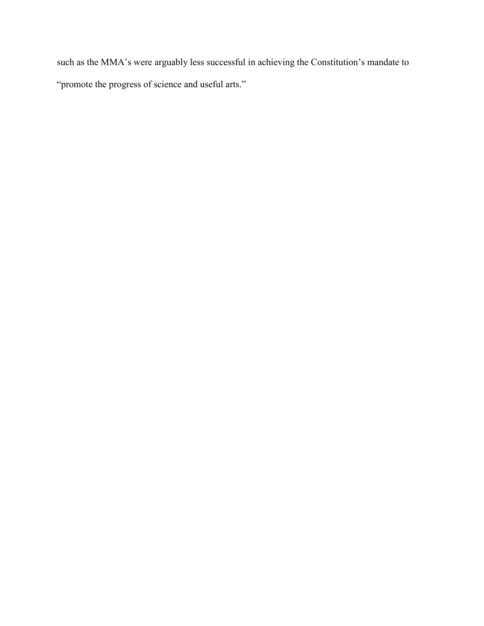such as the MMA's were arguably less successful in achieving the Constitution's mandate to "promote the progress of science and useful arts."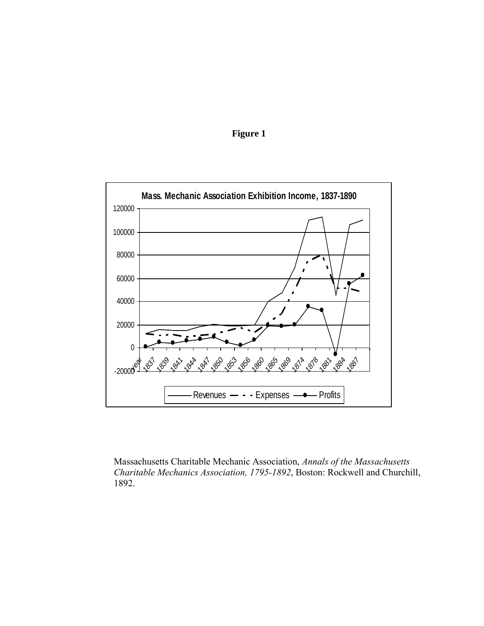



Massachusetts Charitable Mechanic Association, *Annals of the Massachusetts Charitable Mechanics Association, 1795-1892*, Boston: Rockwell and Churchill, 1892.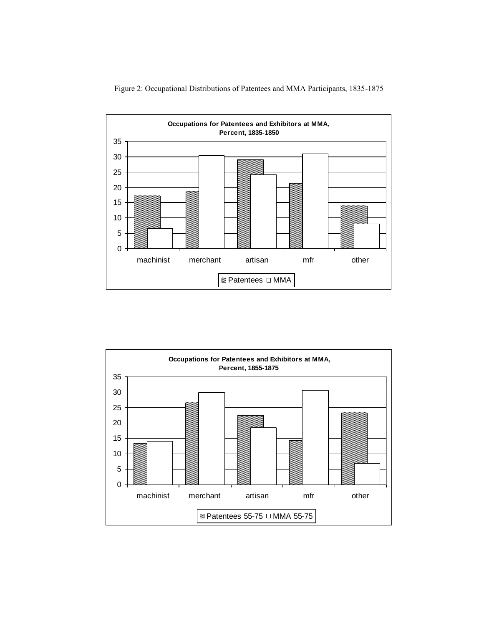

Figure 2: Occupational Distributions of Patentees and MMA Participants, 1835-1875

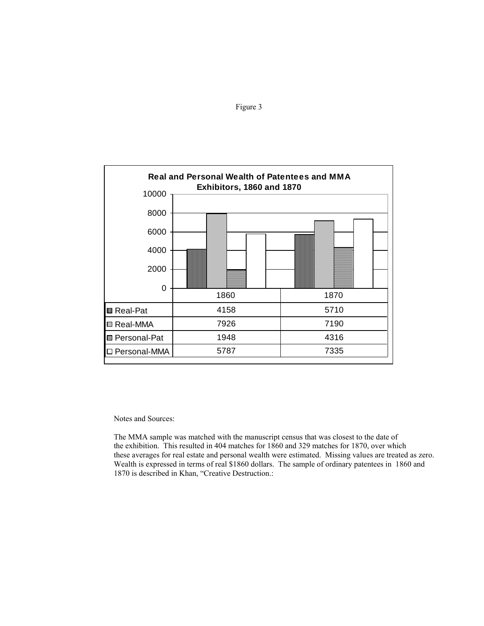



Notes and Sources:

 The MMA sample was matched with the manuscript census that was closest to the date of the exhibition. This resulted in 404 matches for 1860 and 329 matches for 1870, over which these averages for real estate and personal wealth were estimated. Missing values are treated as zero. Wealth is expressed in terms of real \$1860 dollars. The sample of ordinary patentees in 1860 and 1870 is described in Khan, "Creative Destruction.: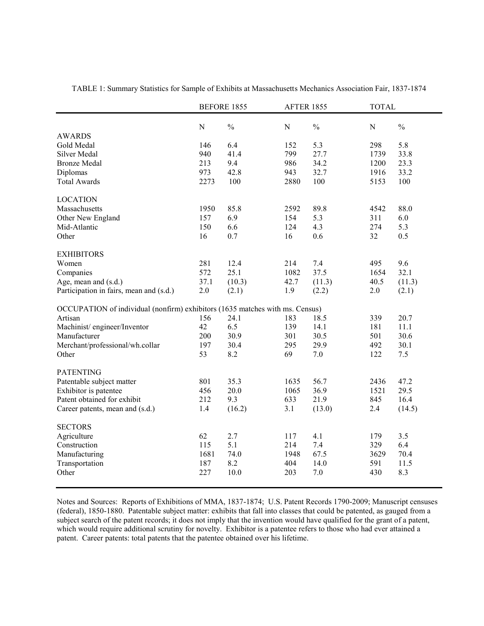|                                                                              | <b>BEFORE 1855</b> |               | <b>AFTER 1855</b> |               | <b>TOTAL</b> |               |
|------------------------------------------------------------------------------|--------------------|---------------|-------------------|---------------|--------------|---------------|
|                                                                              | ${\bf N}$          | $\frac{0}{0}$ | $\mathbf N$       | $\frac{0}{0}$ | N            | $\frac{0}{0}$ |
| <b>AWARDS</b>                                                                |                    |               |                   |               |              |               |
| Gold Medal                                                                   | 146                | 6.4           | 152               | 5.3           | 298          | 5.8           |
| Silver Medal                                                                 | 940                | 41.4          | 799               | 27.7          | 1739         | 33.8          |
| <b>Bronze Medal</b>                                                          | 213                | 9.4           | 986               | 34.2          | 1200         | 23.3          |
| Diplomas                                                                     | 973                | 42.8          | 943               | 32.7          | 1916         | 33.2          |
| <b>Total Awards</b>                                                          | 2273               | 100           | 2880              | 100           | 5153         | 100           |
| <b>LOCATION</b>                                                              |                    |               |                   |               |              |               |
| Massachusetts                                                                | 1950               | 85.8          | 2592              | 89.8          | 4542         | 88.0          |
| Other New England                                                            | 157                | 6.9           | 154               | 5.3           | 311          | 6.0           |
| Mid-Atlantic                                                                 | 150                | 6.6           | 124               | 4.3           | 274          | 5.3           |
| Other                                                                        | 16                 | 0.7           | 16                | 0.6           | 32           | 0.5           |
| <b>EXHIBITORS</b>                                                            |                    |               |                   |               |              |               |
| Women                                                                        | 281                | 12.4          | 214               | 7.4           | 495          | 9.6           |
| Companies                                                                    | 572                | 25.1          | 1082              | 37.5          | 1654         | 32.1          |
| Age, mean and (s.d.)                                                         | 37.1               | (10.3)        | 42.7              | (11.3)        | 40.5         | (11.3)        |
| Participation in fairs, mean and (s.d.)                                      | 2.0                | (2.1)         | 1.9               | (2.2)         | 2.0          | (2.1)         |
| OCCUPATION of individual (nonfirm) exhibitors (1635 matches with ms. Census) |                    |               |                   |               |              |               |
| Artisan                                                                      | 156                | 24.1          | 183               | 18.5          | 339          | 20.7          |
| Machinist/engineer/Inventor                                                  | 42                 | 6.5           | 139               | 14.1          | 181          | 11.1          |
| Manufacturer                                                                 | 200                | 30.9          | 301               | 30.5          | 501          | 30.6          |
| Merchant/professional/wh.collar                                              | 197                | 30.4          | 295               | 29.9          | 492          | 30.1          |
| Other                                                                        | 53                 | 8.2           | 69                | 7.0           | 122          | 7.5           |
| <b>PATENTING</b>                                                             |                    |               |                   |               |              |               |
| Patentable subject matter                                                    | 801                | 35.3          | 1635              | 56.7          | 2436         | 47.2          |
| Exhibitor is patentee                                                        | 456                | 20.0          | 1065              | 36.9          | 1521         | 29.5          |
| Patent obtained for exhibit                                                  | 212                | 9.3           | 633               | 21.9          | 845          | 16.4          |
| Career patents, mean and (s.d.)                                              | 1.4                | (16.2)        | 3.1               | (13.0)        | 2.4          | (14.5)        |
| <b>SECTORS</b>                                                               |                    |               |                   |               |              |               |
| Agriculture                                                                  | 62                 | 2.7           | 117               | 4.1           | 179          | 3.5           |
| Construction                                                                 | 115                | 5.1           | 214               | 7.4           | 329          | 6.4           |
| Manufacturing                                                                | 1681               | 74.0          | 1948              | 67.5          | 3629         | 70.4          |
| Transportation                                                               | 187                | 8.2           | 404               | 14.0          | 591          | 11.5          |
| Other                                                                        | 227                | 10.0          | 203               | 7.0           | 430          | 8.3           |
|                                                                              |                    |               |                   |               |              |               |

TABLE 1: Summary Statistics for Sample of Exhibits at Massachusetts Mechanics Association Fair, 1837-1874

Notes and Sources: Reports of Exhibitions of MMA, 1837-1874; U.S. Patent Records 1790-2009; Manuscript censuses (federal), 1850-1880. Patentable subject matter: exhibits that fall into classes that could be patented, as gauged from a subject search of the patent records; it does not imply that the invention would have qualified for the grant of a patent, which would require additional scrutiny for novelty. Exhibitor is a patentee refers to those who had ever attained a patent. Career patents: total patents that the patentee obtained over his lifetime.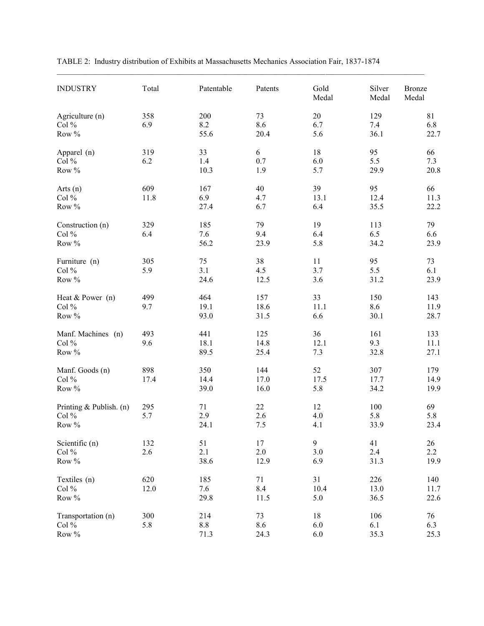| <b>INDUSTRY</b>                             | Total       | Patentable          | Patents             | Gold<br>Medal                  | Silver<br>Medal     | Bronze<br>Medal       |
|---------------------------------------------|-------------|---------------------|---------------------|--------------------------------|---------------------|-----------------------|
| Agriculture (n)<br>Col $\%$<br>Row %        | 358<br>6.9  | 200<br>8.2<br>55.6  | 73<br>8.6<br>20.4   | $20\,$<br>6.7<br>5.6           | 129<br>7.4<br>36.1  | 81<br>6.8<br>22.7     |
| Apparel (n)<br>Col %<br>Row %               | 319<br>6.2  | 33<br>1.4<br>10.3   | 6<br>0.7<br>1.9     | 18<br>6.0<br>5.7               | 95<br>5.5<br>29.9   | 66<br>7.3<br>20.8     |
| Arts $(n)$<br>Col $%$<br>Row %              | 609<br>11.8 | 167<br>6.9<br>27.4  | 40<br>4.7<br>6.7    | 39<br>13.1<br>6.4              | 95<br>12.4<br>35.5  | 66<br>11.3<br>22.2    |
| Construction (n)<br>Col $\%$<br>Row $\%$    | 329<br>6.4  | 185<br>7.6<br>56.2  | 79<br>9.4<br>23.9   | 19<br>6.4<br>5.8               | 113<br>6.5<br>34.2  | 79<br>6.6<br>23.9     |
| Furniture (n)<br>Col $\%$<br>Row $\%$       | 305<br>5.9  | 75<br>3.1<br>24.6   | 38<br>4.5<br>12.5   | 11<br>3.7<br>3.6               | 95<br>5.5<br>31.2   | 73<br>6.1<br>23.9     |
| Heat $&$ Power (n)<br>Col %<br>Row %        | 499<br>9.7  | 464<br>19.1<br>93.0 | 157<br>18.6<br>31.5 | 33<br>11.1<br>6.6              | 150<br>8.6<br>30.1  | 143<br>11.9<br>28.7   |
| Manf. Machines (n)<br>Col %<br>Row %        | 493<br>9.6  | 441<br>18.1<br>89.5 | 125<br>14.8<br>25.4 | 36<br>12.1<br>7.3              | 161<br>9.3<br>32.8  | 133<br>11.1<br>27.1   |
| Manf. Goods (n)<br>Col %<br>Row %           | 898<br>17.4 | 350<br>14.4<br>39.0 | 144<br>17.0<br>16.0 | 52<br>17.5<br>5.8              | 307<br>17.7<br>34.2 | 179<br>14.9<br>19.9   |
| Printing & Publish. (n)<br>Col $%$<br>Row % | 295<br>5.7  | 71<br>2.9<br>24.1   | 22<br>2.6<br>7.5    | 12<br>4.0<br>4.1               | 100<br>5.8<br>33.9  | 69<br>5.8<br>23.4     |
| Scientific (n)<br>Col $%$<br>Row %          | 132<br>2.6  | 51<br>2.1<br>38.6   | 17<br>2.0<br>12.9   | $\boldsymbol{9}$<br>3.0<br>6.9 | 41<br>2.4<br>31.3   | 26<br>$2.2\,$<br>19.9 |
| Textiles (n)<br>Col $%$<br>Row %            | 620<br>12.0 | 185<br>7.6<br>29.8  | 71<br>8.4<br>11.5   | 31<br>10.4<br>5.0              | 226<br>13.0<br>36.5 | 140<br>11.7<br>22.6   |
| Transportation (n)<br>Col $%$<br>Row %      | 300<br>5.8  | 214<br>8.8<br>71.3  | 73<br>8.6<br>24.3   | 18<br>6.0<br>6.0               | 106<br>6.1<br>35.3  | 76<br>6.3<br>25.3     |

TABLE 2: Industry distribution of Exhibits at Massachusetts Mechanics Association Fair, 1837-1874

 $\mathcal{L}_\mathcal{L} = \{ \mathcal{L}_\mathcal{L} = \{ \mathcal{L}_\mathcal{L} = \{ \mathcal{L}_\mathcal{L} = \{ \mathcal{L}_\mathcal{L} = \{ \mathcal{L}_\mathcal{L} = \{ \mathcal{L}_\mathcal{L} = \{ \mathcal{L}_\mathcal{L} = \{ \mathcal{L}_\mathcal{L} = \{ \mathcal{L}_\mathcal{L} = \{ \mathcal{L}_\mathcal{L} = \{ \mathcal{L}_\mathcal{L} = \{ \mathcal{L}_\mathcal{L} = \{ \mathcal{L}_\mathcal{L} = \{ \mathcal{L}_\mathcal{$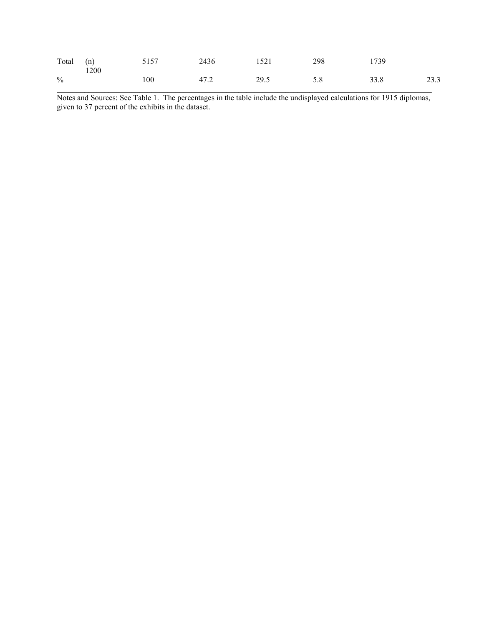| Total (n)     | 1200 | 5157 | 2436 | 1521 | 298 | 1739 |      |
|---------------|------|------|------|------|-----|------|------|
| $\frac{0}{0}$ |      | 100  | 47.2 | 29.5 | 5.8 | 33.8 | 23.3 |

Notes and Sources: See Table 1. The percentages in the table include the undisplayed calculations for 1915 diplomas, given to 37 percent of the exhibits in the dataset.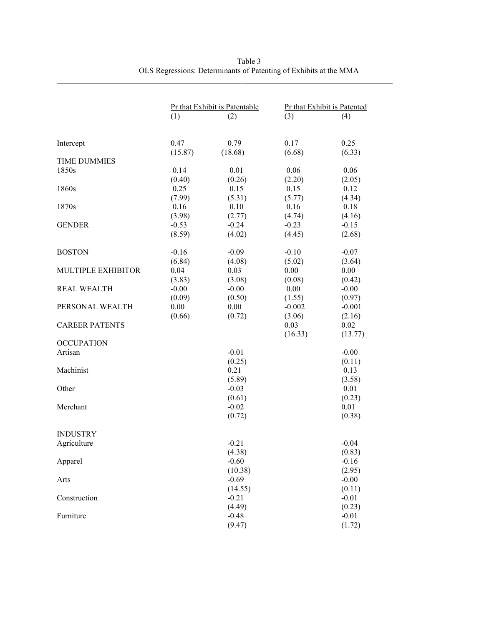|                       | Pr that Exhibit is Patentable |         |          | Pr that Exhibit is Patented |
|-----------------------|-------------------------------|---------|----------|-----------------------------|
|                       | (1)                           | (2)     | (3)      | (4)                         |
|                       |                               |         |          |                             |
| Intercept             | 0.47                          | 0.79    | 0.17     | 0.25                        |
|                       | (15.87)                       | (18.68) | (6.68)   | (6.33)                      |
| <b>TIME DUMMIES</b>   |                               |         |          |                             |
| 1850s                 | 0.14                          | 0.01    | 0.06     | 0.06                        |
|                       | (0.40)                        | (0.26)  | (2.20)   | (2.05)                      |
| 1860s                 | 0.25                          | 0.15    | 0.15     | 0.12                        |
|                       | (7.99)                        | (5.31)  | (5.77)   | (4.34)                      |
| 1870s                 | 0.16                          | 0.10    | 0.16     | 0.18                        |
|                       | (3.98)                        | (2.77)  | (4.74)   | (4.16)                      |
| <b>GENDER</b>         | $-0.53$                       | $-0.24$ | $-0.23$  | $-0.15$                     |
|                       | (8.59)                        | (4.02)  | (4.45)   | (2.68)                      |
|                       |                               |         |          |                             |
| <b>BOSTON</b>         | $-0.16$                       | $-0.09$ | $-0.10$  | $-0.07$                     |
|                       | (6.84)                        | (4.08)  | (5.02)   | (3.64)                      |
| MULTIPLE EXHIBITOR    | 0.04                          | 0.03    | 0.00     | 0.00                        |
|                       | (3.83)                        | (3.08)  | (0.08)   | (0.42)                      |
| <b>REAL WEALTH</b>    | $-0.00$                       | $-0.00$ | 0.00     | $-0.00$                     |
|                       | (0.09)                        | (0.50)  | (1.55)   | (0.97)                      |
| PERSONAL WEALTH       | 0.00                          | 0.00    | $-0.002$ | $-0.001$                    |
|                       | (0.66)                        | (0.72)  | (3.06)   | (2.16)                      |
| <b>CAREER PATENTS</b> |                               |         | 0.03     | 0.02                        |
|                       |                               |         | (16.33)  | (13.77)                     |
| <b>OCCUPATION</b>     |                               |         |          |                             |
| Artisan               |                               | $-0.01$ |          | $-0.00$                     |
|                       |                               | (0.25)  |          | (0.11)                      |
| Machinist             |                               | 0.21    |          | 0.13                        |
|                       |                               | (5.89)  |          | (3.58)                      |
| Other                 |                               | $-0.03$ |          | 0.01                        |
|                       |                               | (0.61)  |          | (0.23)                      |
| Merchant              |                               | $-0.02$ |          | 0.01                        |
|                       |                               | (0.72)  |          | (0.38)                      |
|                       |                               |         |          |                             |
| <b>INDUSTRY</b>       |                               |         |          |                             |
| Agriculture           |                               | $-0.21$ |          | $-0.04$                     |
|                       |                               | (4.38)  |          | (0.83)                      |
| Apparel               |                               | $-0.60$ |          | $-0.16$                     |
|                       |                               | (10.38) |          | (2.95)                      |
| Arts                  |                               | $-0.69$ |          | $-0.00$                     |
|                       |                               | (14.55) |          | (0.11)                      |
| Construction          |                               | $-0.21$ |          | $-0.01$                     |
|                       |                               | (4.49)  |          | (0.23)                      |
| Furniture             |                               | $-0.48$ |          | $-0.01$                     |
|                       |                               | (9.47)  |          | (1.72)                      |
|                       |                               |         |          |                             |

Table 3 OLS Regressions: Determinants of Patenting of Exhibits at the MMA

 $\_$  ,  $\_$  ,  $\_$  ,  $\_$  ,  $\_$  ,  $\_$  ,  $\_$  ,  $\_$  ,  $\_$  ,  $\_$  ,  $\_$  ,  $\_$  ,  $\_$  ,  $\_$  ,  $\_$  ,  $\_$  ,  $\_$  ,  $\_$  ,  $\_$  ,  $\_$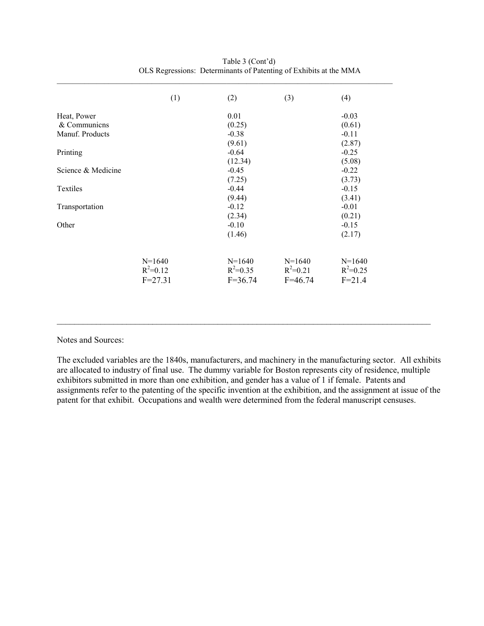|                    | (1)          | (2)          | (3)          | (4)          |
|--------------------|--------------|--------------|--------------|--------------|
| Heat, Power        |              | 0.01         |              | $-0.03$      |
| & Communicns       |              | (0.25)       |              | (0.61)       |
| Manuf. Products    |              | $-0.38$      |              | $-0.11$      |
|                    |              | (9.61)       |              | (2.87)       |
| Printing           |              | $-0.64$      |              | $-0.25$      |
|                    |              | (12.34)      |              | (5.08)       |
| Science & Medicine |              | $-0.45$      |              | $-0.22$      |
|                    |              | (7.25)       |              | (3.73)       |
| <b>Textiles</b>    |              | $-0.44$      |              | $-0.15$      |
|                    |              | (9.44)       |              | (3.41)       |
| Transportation     |              | $-0.12$      |              | $-0.01$      |
|                    |              | (2.34)       |              | (0.21)       |
| Other              |              | $-0.10$      |              | $-0.15$      |
|                    |              | (1.46)       |              | (2.17)       |
|                    | $N=1640$     | $N=1640$     | $N=1640$     | $N=1640$     |
|                    | $R^2 = 0.12$ | $R^2 = 0.35$ | $R^2 = 0.21$ | $R^2 = 0.25$ |
|                    | $F = 27.31$  | $F = 36.74$  | $F=46.74$    | $F = 21.4$   |

| Table 3 (Cont'd)                                                  |
|-------------------------------------------------------------------|
| OLS Regressions: Determinants of Patenting of Exhibits at the MMA |

Notes and Sources:

The excluded variables are the 1840s, manufacturers, and machinery in the manufacturing sector. All exhibits are allocated to industry of final use. The dummy variable for Boston represents city of residence, multiple exhibitors submitted in more than one exhibition, and gender has a value of 1 if female. Patents and assignments refer to the patenting of the specific invention at the exhibition, and the assignment at issue of the patent for that exhibit. Occupations and wealth were determined from the federal manuscript censuses.

\_\_\_\_\_\_\_\_\_\_\_\_\_\_\_\_\_\_\_\_\_\_\_\_\_\_\_\_\_\_\_\_\_\_\_\_\_\_\_\_\_\_\_\_\_\_\_\_\_\_\_\_\_\_\_\_\_\_\_\_\_\_\_\_\_\_\_\_\_\_\_\_\_\_\_\_\_\_\_\_\_\_\_\_\_\_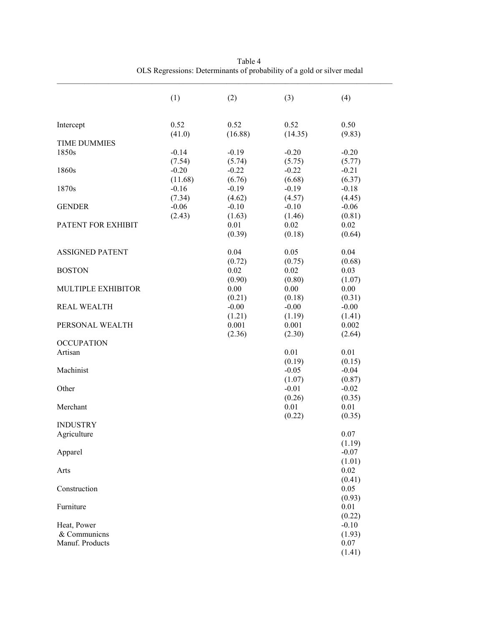|                              | (1)     | (2)               | (3)               | (4)               |
|------------------------------|---------|-------------------|-------------------|-------------------|
| Intercept                    | 0.52    | 0.52              | 0.52              | 0.50              |
|                              | (41.0)  | (16.88)           | (14.35)           | (9.83)            |
| <b>TIME DUMMIES</b><br>1850s | $-0.14$ | $-0.19$           | $-0.20$           | $-0.20$           |
|                              | (7.54)  | (5.74)            | (5.75)            | (5.77)            |
| 1860s                        | $-0.20$ | $-0.22$           | $-0.22$           | $-0.21$           |
|                              | (11.68) | (6.76)            | (6.68)            | (6.37)            |
| 1870s                        | $-0.16$ | $-0.19$           | $-0.19$           | $-0.18$           |
|                              | (7.34)  | (4.62)            | (4.57)            | (4.45)            |
| <b>GENDER</b>                | $-0.06$ | $-0.10$           | $-0.10$           | $-0.06$           |
| PATENT FOR EXHIBIT           | (2.43)  | (1.63)<br>0.01    | (1.46)<br>0.02    | (0.81)<br>0.02    |
|                              |         | (0.39)            | (0.18)            | (0.64)            |
|                              |         |                   |                   |                   |
| <b>ASSIGNED PATENT</b>       |         | 0.04              | 0.05              | 0.04              |
|                              |         | (0.72)            | (0.75)            | (0.68)            |
| <b>BOSTON</b>                |         | 0.02              | 0.02              | 0.03              |
|                              |         | (0.90)            | (0.80)            | (1.07)            |
| MULTIPLE EXHIBITOR           |         | 0.00              | 0.00              | 0.00              |
| <b>REAL WEALTH</b>           |         | (0.21)<br>$-0.00$ | (0.18)<br>$-0.00$ | (0.31)<br>$-0.00$ |
|                              |         | (1.21)            | (1.19)            | (1.41)            |
| PERSONAL WEALTH              |         | 0.001             | 0.001             | 0.002             |
|                              |         | (2.36)            | (2.30)            | (2.64)            |
| <b>OCCUPATION</b>            |         |                   |                   |                   |
| Artisan                      |         |                   | 0.01              | 0.01              |
|                              |         |                   | (0.19)            | (0.15)            |
| Machinist                    |         |                   | $-0.05$           | $-0.04$           |
|                              |         |                   | (1.07)            | (0.87)            |
| Other                        |         |                   | $-0.01$           | $-0.02$           |
| Merchant                     |         |                   | (0.26)<br>0.01    | (0.35)<br>0.01    |
|                              |         |                   | (0.22)            | (0.35)            |
| <b>INDUSTRY</b>              |         |                   |                   |                   |
| Agriculture                  |         |                   |                   | 0.07              |
|                              |         |                   |                   | (1.19)            |
| Apparel                      |         |                   |                   | $-0.07$           |
|                              |         |                   |                   | (1.01)            |
| Arts                         |         |                   |                   | 0.02              |
|                              |         |                   |                   | (0.41)            |
| Construction                 |         |                   |                   | 0.05<br>(0.93)    |
| Furniture                    |         |                   |                   | 0.01              |
|                              |         |                   |                   | (0.22)            |
| Heat, Power                  |         |                   |                   | $-0.10$           |
| & Communicns                 |         |                   |                   | (1.93)            |
| Manuf. Products              |         |                   |                   | 0.07              |
|                              |         |                   |                   | (1.41)            |

Table 4 OLS Regressions: Determinants of probability of a gold or silver medal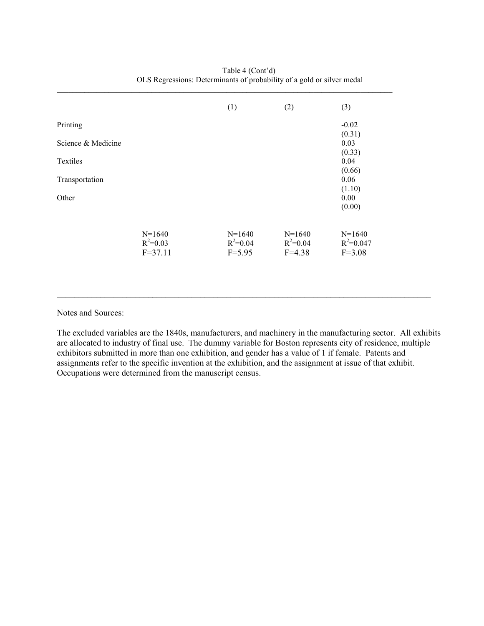|                    |                                         | (1)                                    | (2)                                    | (3)                                     |
|--------------------|-----------------------------------------|----------------------------------------|----------------------------------------|-----------------------------------------|
| Printing           |                                         |                                        |                                        | $-0.02$<br>(0.31)                       |
| Science & Medicine |                                         |                                        |                                        | 0.03<br>(0.33)                          |
| Textiles           |                                         |                                        |                                        | 0.04                                    |
| Transportation     |                                         |                                        |                                        | (0.66)<br>0.06                          |
| Other              |                                         |                                        |                                        | (1.10)<br>0.00<br>(0.00)                |
|                    | $N=1640$<br>$R^2 = 0.03$<br>$F = 37.11$ | $N=1640$<br>$R^2 = 0.04$<br>$F = 5.95$ | $N=1640$<br>$R^2 = 0.04$<br>$F = 4.38$ | $N=1640$<br>$R^2 = 0.047$<br>$F = 3.08$ |

 $\_$  ,  $\_$  ,  $\_$  ,  $\_$  ,  $\_$  ,  $\_$  ,  $\_$  ,  $\_$  ,  $\_$  ,  $\_$  ,  $\_$  ,  $\_$  ,  $\_$  ,  $\_$  ,  $\_$  ,  $\_$  ,  $\_$  ,  $\_$  ,  $\_$  ,  $\_$  ,  $\_$  ,  $\_$  ,  $\_$  ,  $\_$  ,  $\_$  ,  $\_$  ,  $\_$  ,  $\_$  ,  $\_$  ,  $\_$  ,  $\_$  ,  $\_$  ,  $\_$  ,  $\_$  ,  $\_$  ,  $\_$  ,  $\_$  ,

Table 4 (Cont'd) OLS Regressions: Determinants of probability of a gold or silver medal

Notes and Sources:

The excluded variables are the 1840s, manufacturers, and machinery in the manufacturing sector. All exhibits are allocated to industry of final use. The dummy variable for Boston represents city of residence, multiple exhibitors submitted in more than one exhibition, and gender has a value of 1 if female. Patents and assignments refer to the specific invention at the exhibition, and the assignment at issue of that exhibit. Occupations were determined from the manuscript census.

\_\_\_\_\_\_\_\_\_\_\_\_\_\_\_\_\_\_\_\_\_\_\_\_\_\_\_\_\_\_\_\_\_\_\_\_\_\_\_\_\_\_\_\_\_\_\_\_\_\_\_\_\_\_\_\_\_\_\_\_\_\_\_\_\_\_\_\_\_\_\_\_\_\_\_\_\_\_\_\_\_\_\_\_\_\_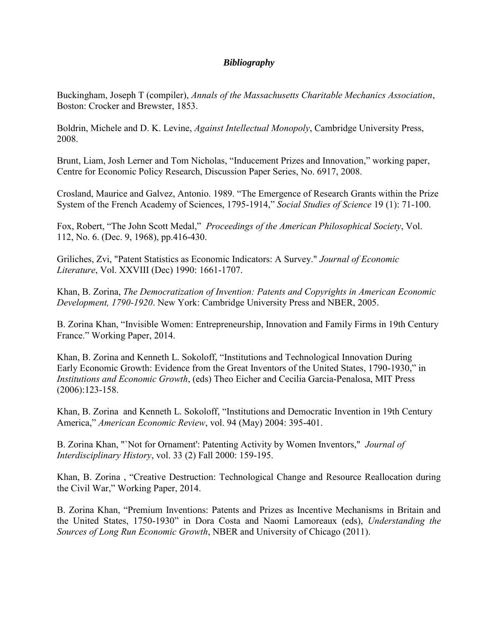# *Bibliography*

Buckingham, Joseph T (compiler), *Annals of the Massachusetts Charitable Mechanics Association*, Boston: Crocker and Brewster, 1853.

Boldrin, Michele and D. K. Levine, *Against Intellectual Monopoly*, Cambridge University Press, 2008.

Brunt, Liam, Josh Lerner and Tom Nicholas, "Inducement Prizes and Innovation," working paper, Centre for Economic Policy Research, Discussion Paper Series, No. 6917, 2008.

Crosland, Maurice and Galvez, Antonio. 1989. "The Emergence of Research Grants within the Prize System of the French Academy of Sciences, 1795-1914," *Social Studies of Science* 19 (1): 71-100.

Fox, Robert, "The John Scott Medal," *Proceedings of the American Philosophical Society*, Vol. 112, No. 6. (Dec. 9, 1968), pp.416-430.

Griliches, Zvi, "Patent Statistics as Economic Indicators: A Survey." *Journal of Economic Literature*, Vol. XXVIII (Dec) 1990: 1661-1707.

Khan, B. Zorina, *The Democratization of Invention: Patents and Copyrights in American Economic Development, 1790-1920*. New York: Cambridge University Press and NBER, 2005.

B. Zorina Khan, "Invisible Women: Entrepreneurship, Innovation and Family Firms in 19th Century France." Working Paper, 2014.

Khan, B. Zorina and Kenneth L. Sokoloff, "Institutions and Technological Innovation During Early Economic Growth: Evidence from the Great Inventors of the United States, 1790-1930," in *Institutions and Economic Growth*, (eds) Theo Eicher and Cecilia Garcia-Penalosa, MIT Press (2006):123-158.

Khan, B. Zorina and Kenneth L. Sokoloff, "Institutions and Democratic Invention in 19th Century America," *American Economic Review*, vol. 94 (May) 2004: 395-401.

B. Zorina Khan, "`Not for Ornament': Patenting Activity by Women Inventors," *Journal of Interdisciplinary History*, vol. 33 (2) Fall 2000: 159-195.

Khan, B. Zorina , "Creative Destruction: Technological Change and Resource Reallocation during the Civil War," Working Paper, 2014.

B. Zorina Khan, "Premium Inventions: Patents and Prizes as Incentive Mechanisms in Britain and the United States, 1750-1930" in Dora Costa and Naomi Lamoreaux (eds), *Understanding the Sources of Long Run Economic Growth*, NBER and University of Chicago (2011).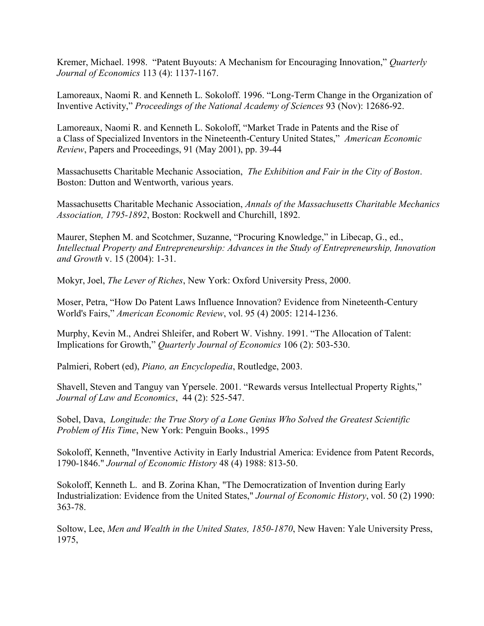Kremer, Michael. 1998. "Patent Buyouts: A Mechanism for Encouraging Innovation," *Quarterly Journal of Economics* 113 (4): 1137-1167.

Lamoreaux, Naomi R. and Kenneth L. Sokoloff. 1996. "Long-Term Change in the Organization of Inventive Activity," *Proceedings of the National Academy of Sciences* 93 (Nov): 12686-92.

Lamoreaux, Naomi R. and Kenneth L. Sokoloff, "Market Trade in Patents and the Rise of a Class of Specialized Inventors in the Nineteenth-Century United States," *American Economic Review*, Papers and Proceedings, 91 (May 2001), pp. 39-44

Massachusetts Charitable Mechanic Association, *The Exhibition and Fair in the City of Boston*. Boston: Dutton and Wentworth, various years.

Massachusetts Charitable Mechanic Association, *Annals of the Massachusetts Charitable Mechanics Association, 1795-1892*, Boston: Rockwell and Churchill, 1892.

Maurer, Stephen M. and Scotchmer, Suzanne, "Procuring Knowledge," in Libecap, G., ed., *Intellectual Property and Entrepreneurship: Advances in the Study of Entrepreneurship, Innovation and Growth* v. 15 (2004): 1-31.

Mokyr, Joel, *The Lever of Riches*, New York: Oxford University Press, 2000.

Moser, Petra, "How Do Patent Laws Influence Innovation? Evidence from Nineteenth-Century World's Fairs," *American Economic Review*, vol. 95 (4) 2005: 1214-1236.

Murphy, Kevin M., Andrei Shleifer, and Robert W. Vishny. 1991. "The Allocation of Talent: Implications for Growth," *Quarterly Journal of Economics* 106 (2): 503-530.

Palmieri, Robert (ed), *Piano, an Encyclopedia*, Routledge, 2003.

Shavell, Steven and Tanguy van Ypersele. 2001. "Rewards versus Intellectual Property Rights," *Journal of Law and Economics*, 44 (2): 525-547.

Sobel, Dava, *Longitude: the True Story of a Lone Genius Who Solved the Greatest Scientific Problem of His Time*, New York: Penguin Books., 1995

Sokoloff, Kenneth, "Inventive Activity in Early Industrial America: Evidence from Patent Records, 1790-1846." *Journal of Economic History* 48 (4) 1988: 813-50.

Sokoloff, Kenneth L. and B. Zorina Khan, "The Democratization of Invention during Early Industrialization: Evidence from the United States," *Journal of Economic History*, vol. 50 (2) 1990: 363-78.

Soltow, Lee, *Men and Wealth in the United States, 1850-1870*, New Haven: Yale University Press, 1975,